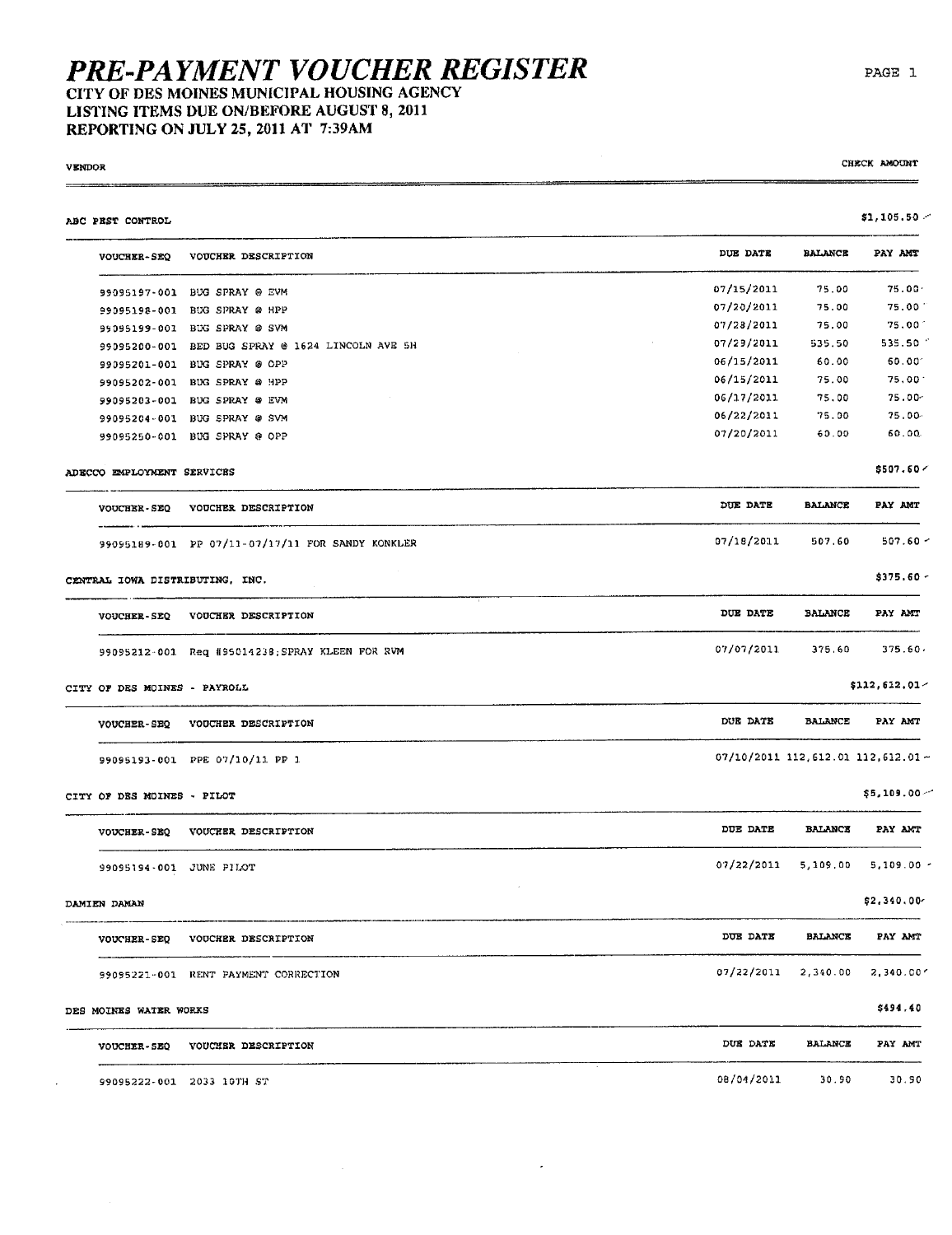## PRE-PAYMENT VOUCHER REGISTER<br>CITY OF DES MOINES MUNICIPAL HOUSING AGENCY LISTING ITEMS DUE ON/BEFORE AUGUST 8, 2011

REPORTING ON JULY 25, 2011 AT 7:39AM

**VENDOR** 

 $\equiv$ 

 $\ddot{\phantom{a}}$ 

CHECK AMOUNT

| ABC PEST CONTROL                |                                                  |                                        |                | \$1,105.50          |
|---------------------------------|--------------------------------------------------|----------------------------------------|----------------|---------------------|
| <b>VOUCHER-SEQ</b>              | VOUCHER DESCRIPTION                              | DUE DATE                               | <b>BALANCE</b> | PAY AMT             |
|                                 | 99095197-001 BUG SPRAY @ EVM                     | 07/15/2011                             | 75.00          | 75.00 <sub>1</sub>  |
|                                 | 99095198-001 BUG SPRAY @ HPP                     | 07/20/2011                             | 75.00          | 75.00               |
|                                 | 99095199-001 BUG SPRAY @ SVM                     | 07/28/2011                             | 75.00          | $75.00^{\circ}$     |
|                                 | 99095200-001 BED BUG SPRAY @ 1624 LINCOLN AVE 5H | 07/29/2011                             | 535.50         | 535.50              |
|                                 | 99095201-001 BUG SPRAY @ OPP                     | 06/15/2011                             | 60.00          | $60.00^{\circ}$     |
|                                 | 99095202-001 BUG SPRAY @ HPP                     | 06/15/2011                             | 75.00          | 75.00               |
|                                 | 99095203-001 BUG SPRAY @ EVM                     | 06/17/2011                             | 75.00          | 75.00-              |
|                                 | 99095204-001 BUG SPRAY @ SVM                     | 06/22/2011                             | 75.00          | 75.00               |
|                                 | 99095250-001 BUG SPRAY @ OPP                     | 07/20/2011                             | 60.00          | 60.00               |
| ADECCO EMPLOYMENT SERVICES      |                                                  |                                        |                | \$507.60<           |
| <b>VOUCHER-SEQ</b>              | VOUCHER DESCRIPTION                              | DUE DATE                               | <b>BALANCE</b> | PAY AMT             |
|                                 | 99095189-001 PP 07/11-07/17/11 FOR SANDY KONKLER | 07/18/2011                             | 507.60         | $507.60 -$          |
| CENTRAL IOWA DISTRIBUTING, INC. |                                                  |                                        |                | $$375.60 -$         |
| <b>VOUCHER-SEQ</b>              | VOUCHER DESCRIPTION                              | DUE DATE                               | <b>BALANCE</b> | PAY AMI             |
|                                 | 99095212-001 Req #95014238; SPRAY KLEEN FOR RVM  | 07/07/2011                             | 375.60         | 375.60.             |
| CITY OF DES MOINES - PAYROLL    |                                                  |                                        |                | $$112,612.01-$      |
| <b>VOUCHER-SEQ</b>              | VOUCHER DESCRIPTION                              | DUE DATE                               | <b>BALANCE</b> | PAY AMT             |
|                                 | 99095193-001 PPE 07/10/11 PP 1                   | $07/10/2011$ 112, 612.01 112, 612.01 - |                |                     |
| CITY OF DES MOINES - PILOT      |                                                  |                                        |                | \$5,109.00          |
| <b>VOUCHER-SEQ</b>              | <b>VOUCHER DESCRIPTION</b>                       | DUE DATE                               | <b>BALANCE</b> | PAY ANT             |
| 99095194-001 JUNE PILOT         |                                                  | 07/22/2011                             |                | 5,109.00 5,109.00 - |
| DAMIEN DAMAN                    |                                                  |                                        |                | \$2,340.00          |
| <b>VOUCHER-SEQ</b>              | VOUCHER DESCRIPTION                              | DUE DATE                               | <b>BALANCE</b> | PAY AMT             |
|                                 | 99095221-001 RENT PAYMENT CORRECTION             | 07/22/2011                             | 2,340.00       | 2,340.00'           |
| DES MOINES WATER WORKS          |                                                  |                                        |                | \$494.40            |
| <b>VOUCHER-SEQ</b>              | VOUCHER DESCRIPTION                              | DUE DATE                               | <b>BALANCE</b> | PAY AMT             |
|                                 | 99095222-001 2033 10TH ST                        | 08/04/2011                             | 30.90          | 30.90               |

 $\overline{\phantom{a}}$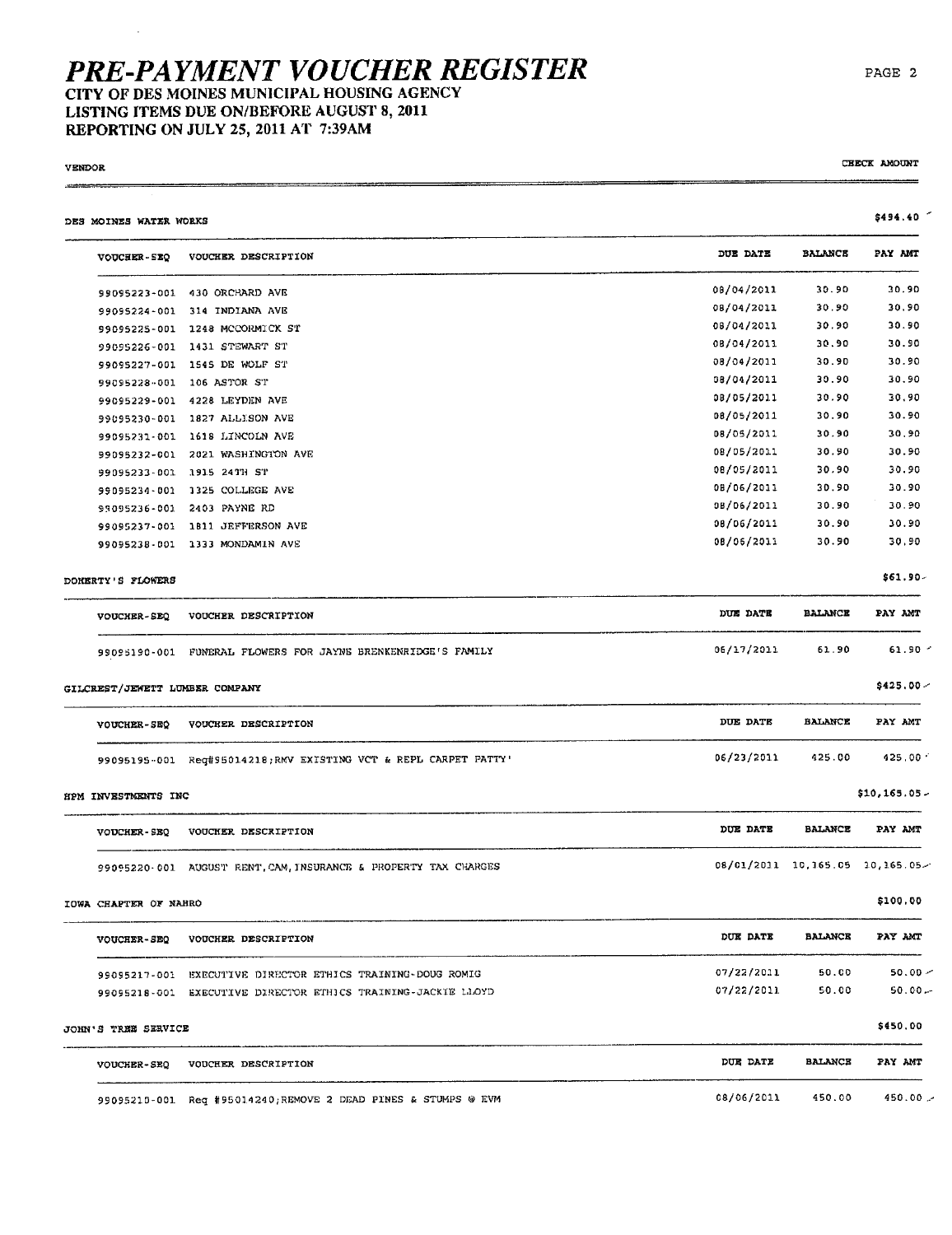### PRE-PAYMENT VOUCHER REGISTER CITY OF DES MOINES MUNICIPAL HOUSING AGENCY LISTING ITEMS DUE ON/BEFORE AUGUST 8, 2011 REPORTING ON JULY 25, 2011 AT 7:39AM

**VENDOR** 

CHECK AMOUNT

| DES MOINES WATER WORKS         |                                                                 |                 |                | \$494.40                       |
|--------------------------------|-----------------------------------------------------------------|-----------------|----------------|--------------------------------|
| VOUCHER-5EQ                    | VOUCHER DESCRIPTION                                             | DUE DATE        | <b>BALANCE</b> | PAY AMT                        |
|                                | 99095223-001 430 ORCHARD AVE                                    | 08/04/2011      | 30.90          | 30.90                          |
|                                | 99095224-001 314 INDIANA AVE                                    | 08/04/2011      | 30.90          | 30.90                          |
|                                | 99095225-001 1248 MCCORMICK ST                                  | 08/04/2011      | 30.90          | 30.90                          |
|                                | 99095226-001 1431 STEWART ST                                    | 08/04/2011      | 30.90          | 30.90                          |
|                                | 99095227-001 1545 DE WOLF ST                                    | 08/04/2011      | 30.90          | 30.90                          |
|                                | 99095228-001 106 ASTOR ST                                       | 08/04/2011      | 30.90          | 30.90                          |
|                                | 99095229-001 4228 LEYDEN AVE                                    | 08/05/2011      | 30.90          | 30.90                          |
|                                | 99095230-001 1827 ALLISON AVE                                   | 08/05/2011      | 30.90          | 30.90                          |
|                                | 99095231-001 1618 LINCOLN AVE                                   | 08/05/2011      | 30.90          | 30.90                          |
|                                | 99095232-001 2021 WASHINGTON AVE                                | 08/05/2011      | 30.90          | 30.90                          |
|                                | 99095233-001 1915 24TH ST                                       | 08/05/2011      | 30,90          | 30.90                          |
|                                | 99095234-001 1325 COLLEGE AVE                                   | 08/06/2011      | 30.90          | 30.90                          |
|                                | 99095236-001 2403 PAYNE RD                                      | 08/06/2011      | 30.90          | 30.90                          |
|                                | 99095237-001 1811 JEFFERSON AVE                                 | 08/06/2011      | 30.90          | 30.90                          |
|                                | 99095238-001 1333 MONDAMIN AVE                                  | 08/06/2011      | 30.90          | 30.90                          |
| DOMERTY'S FLOWERS              |                                                                 |                 |                | \$61.90-                       |
| <b>VOUCHER-SEQ</b>             | VOUCHER DESCRIPTION                                             | DUE DATE        | <b>BALANCE</b> | PAY AMT                        |
|                                | 99095190-001 FUNERAL FLOWERS FOR JAYNE BRENKENRIDGE'S FAMILY    | 06/17/2011      | 61.90          | 61.90 -                        |
| GILCREST/JEWETT LUMBER COMPANY |                                                                 |                 |                | \$425.00 <                     |
| VOUCHER-SEQ                    | VOUCHER DESCRIPTION                                             | DUE DATE        | <b>BALANCE</b> | PAY AMT                        |
|                                | 99095195-001 Reg#95014218;RMV EXISTING VCT & REPL CARPET PATTY' | 06/23/2011      | 425.00         | $425,00-1$                     |
| HPM INVESTMENTS INC            |                                                                 |                 |                | \$10,165.05.                   |
| VOUCHER-SEQ                    | VOUCHER DESCRIPTION                                             | DUE DATE        | <b>BALANCE</b> | PAY AMT                        |
|                                | 99095220-001 AUGUST RENT, CAM, INSURANCE & PROPERTY TAX CHARGES |                 |                | 08/01/2011 10,165.05 10,165.05 |
| IOWA CHAPTER OF NAHRO          |                                                                 |                 |                | \$100.00                       |
|                                | VOUCHER-SEQ VOUCHER DESCRIPTION                                 | <b>DUE DATE</b> | <b>BALANCE</b> | PAY AMT                        |
|                                | 99095217-001 EXECUTIVE DIRECTOR ETHICS TRAINING-DOUG ROMIG      | 07/22/2011      | 50.00          | $50.00 -$                      |
|                                | 99095218-001 EXECUTIVE DIRECTOR ETHICS TRAINING-JACKIE LLOYD    | 07/22/2011      | 50.00          | $50.00 -$                      |
| JOHN'S TREE SERVICE            |                                                                 |                 |                | \$450.00                       |
|                                | VOUCHER-SEQ VOUCHER DESCRIPTION                                 | DUE DATE        | <b>BALANCE</b> | PAY AMT                        |
|                                | 99095210-001 Req #95014240; REMOVE 2 DEAD PINES & STUMPS @ EVM  | 08/06/2011      | 450.00         | $450.00 -$                     |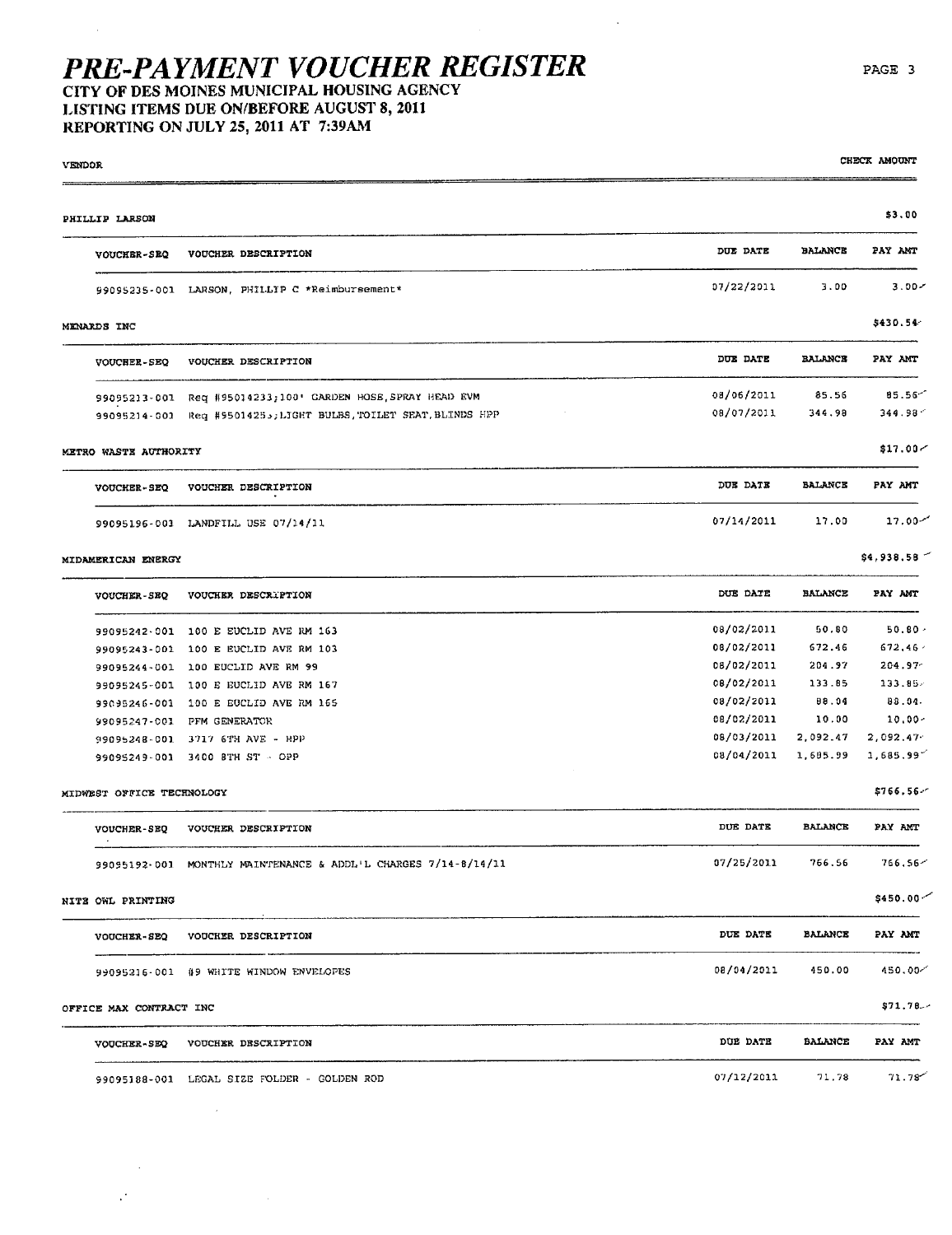LISTING ITEMS DUE ON/BEFORE AUGUST 8, 2011

REPORTING ON JULY 25, 2011 AT 7:39AM

| <b>VENDOR</b> |                           |                                                                   |                          |                      | CHECK AMOUNT          |
|---------------|---------------------------|-------------------------------------------------------------------|--------------------------|----------------------|-----------------------|
|               | PHILLIP LARSON            |                                                                   |                          |                      | \$3.00                |
|               | <b>VOUCHER-SEQ</b>        | VOUCHER DESCRIPTION                                               | DUE DATE                 | <b>BALANCE</b>       | PAY ANT               |
|               |                           | 99095235-001 LARSON, PHILLIP C *Reimbursement*                    | 07/22/2011               | 3.00                 | 3.00 <sub>7</sub>     |
|               | <b>MENARDS INC</b>        |                                                                   |                          |                      | \$430.54              |
|               | VOUCHER-SEQ               | VOUCHER DESCRIPTION                                               | DUE DATE                 | <b>BALANCE</b>       | PAY AMT               |
|               |                           | 99095213-001 Req #95014233;100' GARDEN HOSE, SPRAY HEAD EVM       | 08/06/2011               | 85.56                | 85.56<                |
|               |                           | 99095214-001 Req #95014255; LIGHT BULBS, TOILET SEAT, BLINDS HPP  | 08/07/2011               | 344.98               | 344.98                |
|               | METRO WASTE AUTHORITY     |                                                                   |                          |                      | \$17.00 <sub>7</sub>  |
|               | <b>VOUCHER-SEQ</b>        | VOUCHER DESCRIPTION                                               | DUE DATE                 | <b>BALANCE</b>       | PAY AMT               |
|               |                           | 99095196-001 LANDFILL USE 07/14/11                                | 07/14/2011               | 17.00                | $17.00 -$             |
|               | MIDAMERICAN ENERGY        |                                                                   |                          |                      | \$4,938.58            |
|               | VOUCHER-SEO               | VOUCHER DESCRIPTION                                               | DUE DATE                 | <b>BALANCE</b>       | PAY AMT               |
|               |                           | 99095242-001 100 E EUCLID AVE RM 163                              | 08/02/2011               | 50.80                | 50.80.                |
|               |                           | 99095243-001 100 E EUCLID AVE RM 103                              | 08/02/2011               | 672.46               | 672, 46               |
|               |                           | 99095244-001 100 EUCLID AVE RM 99                                 | 08/02/2011               | 204.97               | 204.97                |
|               |                           | 99095245-001 100 E EUCLID AVE RM 167                              | 08/02/2011               | 133.85               | 133.85                |
|               |                           | 99095246-001 100 E EUCLID AVE RM 165                              | 08/02/2011               | 88.04                | 83.04.                |
|               |                           | 99095247-001 PFM GENERATOR                                        | 08/02/2011               | 10.00                | 10.00-                |
|               |                           | 99095248-001 3717 6TH AVE - HPP<br>99095249-001 3400 BTH ST - OPP | 08/03/2011<br>08/04/2011 | 2,092.47<br>1,685.99 | 2,092.47<br>1,685.997 |
|               | MIDWEST OFFICE TECHNOLOGY |                                                                   |                          |                      | \$766.56-             |
|               | <b>VOUCHER-SEQ</b>        | VOUCHER DESCRIPTION                                               | DUE DATE                 | <b>BALANCE</b>       | PAY AMT               |
|               |                           | 99095192-001 MONTHLY MAINTENANCE & ADDL+L CHARGES 7/14-8/14/11    | 07/25/2011 766.56        |                      | 766.56                |
|               | NITE OWL PRINTING         |                                                                   |                          |                      | $$450.00 \t$          |
|               |                           | VOUCHER-SEQ VOUCHER DESCRIPTION                                   |                          | DUE DATE BALANCE     | PAY AMT               |
|               |                           | 99095216-001 #9 WHITE WINDOW ENVELOPES                            | 08/04/2011 450.00        |                      | 450.00-               |
|               | OFFICE MAX CONTRACT INC   |                                                                   |                          |                      | \$71.78.              |
|               |                           | VOUCHER-SEQ VOUCHER DESCRIPTION                                   | <b>DUE DATE</b>          | <b>BALANCE</b>       | PAY AMT               |
|               |                           | 99095188-001 LEGAL SIZE FOLDER - GOLDEN ROD                       | 07/12/2011               | 71.78                | 71.78'                |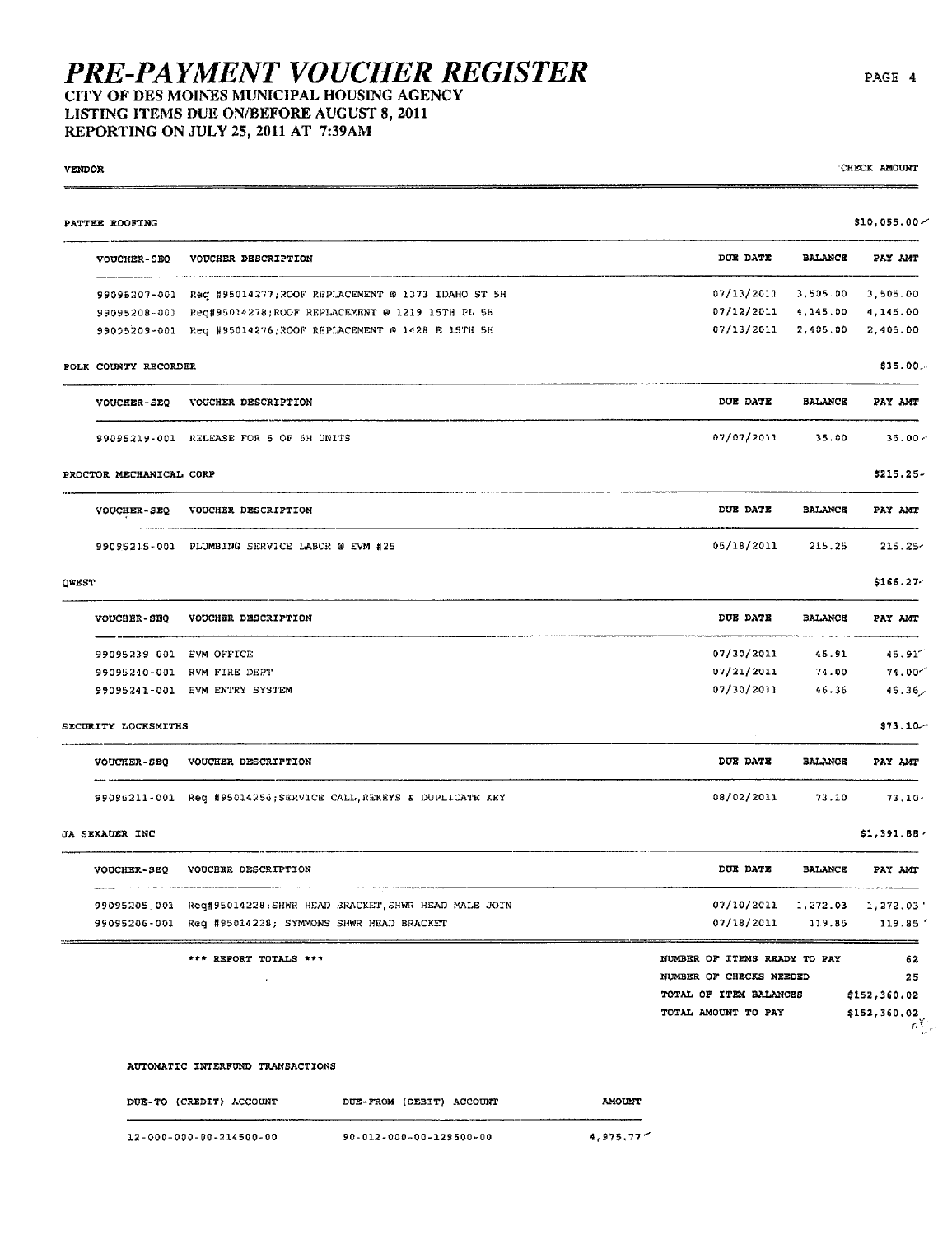### **PRE-PAYMENT VOUCHER REGISTER** CITY OF DES MOINES MUNICIPAL HOUSING AGENCY LISTING ITEMS DUE ON/BEFORE AUGUST 8, 2011

REPORTING ON JULY 25, 2011 AT 7:39AM

**VENDOR** CHECK AMOUNT  $$10,055.00 \times$ PATTEE ROOFING DITE DATE **BALANCE** VOUCHER-SEQ VOUCHER DESCRIPTION PAY AMT 99095207-001 Req #95014277; ROOF REPLACEMENT @ 1373 IDAHO ST 5H 07/13/2011 3,505.00 3.505.00 99095208-001 Reg#95014278;ROOF REPLACEMENT @ 1219 15TH PL 5H 07/12/2011  $4.145.00$ 4.145.00 99095209-001 Req #95014276; ROOF REPLACEMENT @ 1428 E 15TH 5H 07/13/2011 2,405.00 2,405.00 POLK COUNTY RECORDER \$35.00. DUE DATE VOUCHER-SEO VOUCHER DESCRIPTION **BALANCE** PAY AMT 07/07/2011 99095219-001 RELEASE FOR 5 OF SH UNITS 35.00  $35.00 -$ \$215.25-PROCTOR MECHANICAL CORP VOUCHER-SEQ VOUCHER DESCRIPTION DUE DATE **BALANCE** PAY AMT 99095215-001 PLUMBING SERVICE LABOR @ EVM #25 05/18/2011 215.25  $215.25<sub>7</sub>$  $$166.27-$ OWEST **VOUCHER DESCRIPTION** DUE DATE **BALANCE** VOUCHER-SEQ PAY AMT 99095239-001 EVM OFFICE 07/30/2011 45.91 45.91 07/21/2011 74.00 99095240-001 RVM FIRE DEPT  $74.00^{-7}$ 07/30/2011 99095241-001 EVM ENTRY SYSTEM 46.36  $46.36$ SECURITY LOCKSMITHS  $$73.10-$ **VOUCHER-SEQ** VOUCHER DESCRIPTION DUE DATE **BALANCE** PAY AMT 99095211-001 Req #95014256; SERVICE CALL, REKEYS & DUPLICATE KEY 08/02/2011 73.10  $73.10 $1,391.88$ JA SEXAUER INC **VOUCHER DESCRIPTION** DUE DATE **BALANCE** PAY AMT **VOUCHER-SEQ** 99095205-001 Req#95014228: SHWR HEAD BRACKET, SHWR HEAD MALE JOIN 07/10/2011 1,272.03 1,272.03' 99095206-001 Req #95014228; SYMMONS SHWR HEAD BRACKET 07/18/2011 119.85 119.85 \*\*\* REPORT TOTALS \*\*\* NUMBER OF ITEMS READY TO PAY 62 NUMBER OF CHECKS NEEDED  $25$ TOTAL OF ITEM BALANCES \$152,360.02 TOTAL AMOUNT TO PAY \$152,360.02  $\bar{\delta}^{\psi}$  ,

#### AUTOMATIC INTERFUND TRANSACTIONS

DUE-TO (CREDIT) ACCOUNT **AMOUNT** DUE-FROM (DEBIT) ACCOUNT 12-000-000-00-214500-00 90-012-000-00-129500-00  $4,975,77$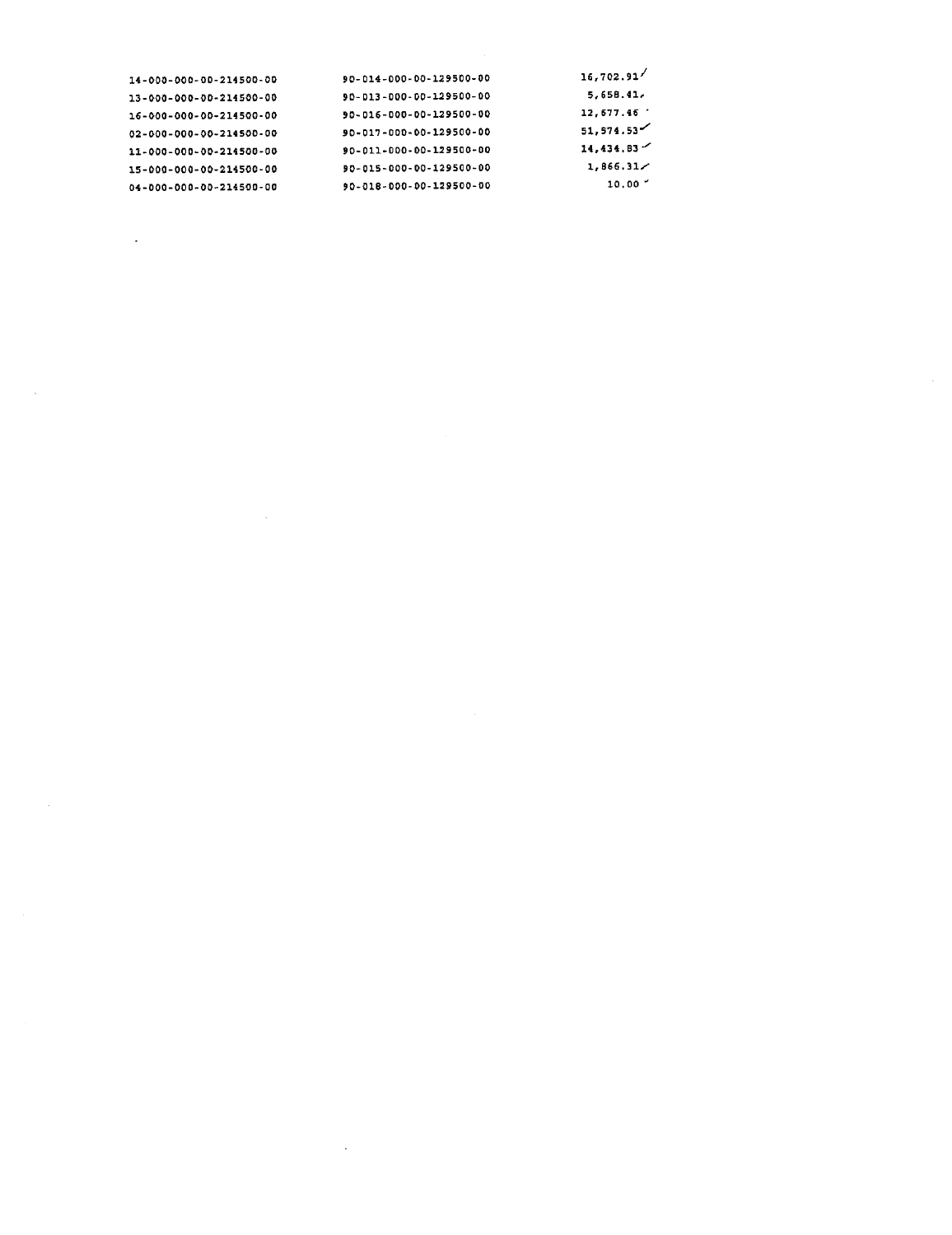| 14-000-000-00-214500-00 | 90-014-000-00-129500-00 | 16,702.91          |
|-------------------------|-------------------------|--------------------|
| 13-000-000-00-214500-00 | 90-013-000-00-129500-00 | 5,658.41.          |
| 16-000-000-00-214500-00 | 90-016-000-00-129500-00 | 12.677.46          |
| 02-000-000-00-214500-00 | 90-017-000-00-129500-00 | 51,574.53          |
| 11-000-000-00-214500-00 | 90-011-000-00-129500-00 | $14,434,83$ $\sim$ |
| 15-000-000-00-214500-00 | 90-015-000-00-129500-00 | 1,866.31/          |
| 04-000-000-00-214500-00 | 90-018-000-00-129500-00 | 10.00              |
|                         |                         |                    |

 $\label{eq:2.1} \mathcal{L}(\mathcal{L}^{\mathcal{L}}_{\mathcal{L}}(\mathcal{L}^{\mathcal{L}}_{\mathcal{L}})) \leq \mathcal{L}(\mathcal{L}^{\mathcal{L}}_{\mathcal{L}}(\mathcal{L}^{\mathcal{L}}_{\mathcal{L}})) \leq \mathcal{L}(\mathcal{L}^{\mathcal{L}}_{\mathcal{L}}(\mathcal{L}^{\mathcal{L}}_{\mathcal{L}}))$ 

 $\sim$   $\sim$ 

 $\mathcal{L}^{\mathcal{L}}(\mathcal{L}^{\mathcal{L}})$  and  $\mathcal{L}^{\mathcal{L}}(\mathcal{L}^{\mathcal{L}})$  and  $\mathcal{L}^{\mathcal{L}}(\mathcal{L}^{\mathcal{L}})$ 

 $\Delta \sim 10^{11}$  km s  $^{-1}$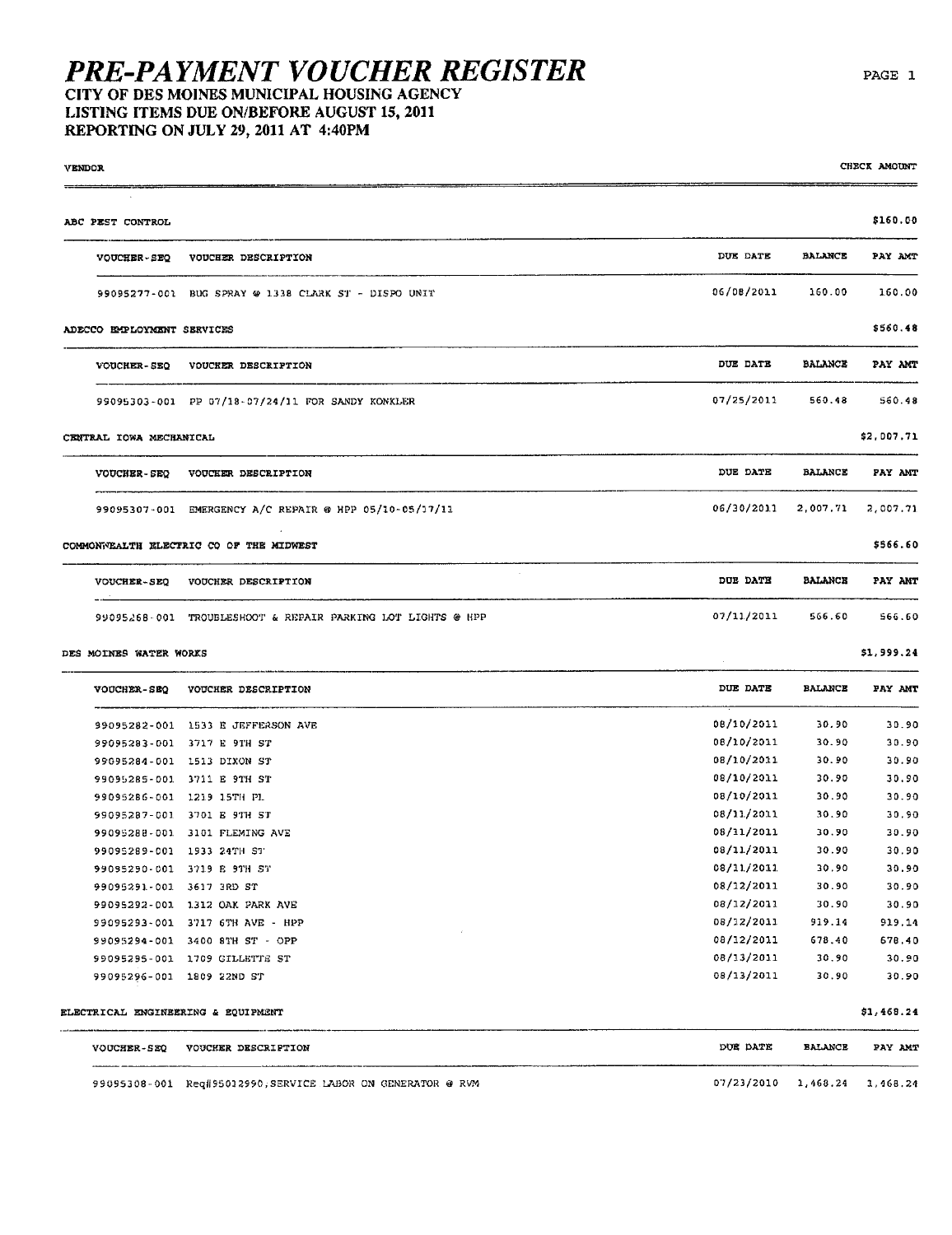## **PRE-PAYMENT VOUCHER REGISTER** LISTING ITEMS DUE ON/BEFORE AUGUST 15, 2011

REPORTING ON JULY 29, 2011 AT 4:40PM

| <b>VENDOR</b>              |                                                             |            |                | CHECK AMOUNT |
|----------------------------|-------------------------------------------------------------|------------|----------------|--------------|
| ABC PEST CONTROL           |                                                             |            |                | \$160.00     |
| <b>VOUCHER-SEQ</b>         | VOUCHER DESCRIPTION                                         | DUE DATE   | <b>BALANCE</b> | PAY AMT      |
|                            | 99095277-001 BUG SPRAY @ 1338 CLARK ST - DISPO UNIT         | 06/08/2011 | 160.00         | 160.00       |
| ADECCO EMPLOYMENT SERVICES |                                                             |            |                | \$560.48     |
|                            | VOUCHER-SEQ VOUCHER DESCRIPTION                             | DUE DATE   | <b>BALANCE</b> | PAY AMT      |
|                            | 99095303-001 PP 07/18-07/24/11 FOR SANDY KONKLER            | 07/25/2011 | 560.48         | 560.48       |
| CENTRAL IOWA MECHANICAL    |                                                             |            |                | \$2,007.71   |
|                            | VOUCHER-SEQ VOUCHER DESCRIPTION                             | DUE DATE   | <b>BALANCE</b> | PAY ANT      |
|                            | 99095307-001 EMERGENCY A/C REPAIR @ HPP 05/10-05/17/11      | 06/30/2011 | 2,007.71       | 2,007.71     |
|                            | COMMONWEALTH ELECTRIC CO OF THE MIDWEST                     |            |                | \$566.60     |
|                            | VOUCHER-SEQ VOUCHER DESCRIPTION                             | DUE DATE   | <b>BALANCE</b> | PAY AMT      |
|                            | 99095268-001 TROUBLESHOOT & REPAIR PARKING LOT LIGHTS @ HPP | 07/11/2011 | 566.60         | 566.60       |
| DES MOINES WATER WORKS     |                                                             |            |                | \$1,999.24   |

| <b>VOUCHER-SEO</b> | VOUCHER DESCRIPTION  | DUE DATE   | <b>BALANCE</b> | PAY AMT |
|--------------------|----------------------|------------|----------------|---------|
| 99095282-001       | 1533 E JEFFERSON AVE | 08/10/2011 | 30.90          | 30.90   |
| 99095283-001       | 3717 E 9TH ST        | 08/10/2011 | 30.90          | 30.90   |
| 99095284-001       | 1513 DIXON ST        | 08/10/2011 | 30.90          | 30.90   |
| 99095285-001       | 3711 E 9TH ST        | 08/10/2011 | 30.90          | 30.90   |
| 99095286-001       | 1219 15TH PL         | 08/10/2011 | 30.90          | 30.90   |
| 99095287-001       | 3701 E 9TH ST        | 08/11/2011 | 30.90          | 30.90   |
| 99095288-001       | 3101 FLEMING AVE     | 08/11/2011 | 30.90          | 30.90   |
| 99095289-001       | 1933 24TH ST         | 08/11/2011 | 30.90          | 30.90   |
| 99095290-001       | 3719 E 9TH ST        | 08/11/2011 | 30,90          | 30.90   |
| 99095291-001       | 3617 3RD ST          | 08/12/2011 | 30.90          | 30.90   |
| 99095292-001       | 1312 OAK PARK AVE    | 08/12/2011 | 30.90          | 30.90   |
| 99095293-001       | 3717 6TH AVE - HPP   | 08/12/2011 | 919.14         | 919.14  |
| 99095294-001       | 3400 8TH ST - OPP    | 08/12/2011 | 678.40         | 678,40  |
| 99095295-001       | 1709 CILLETTE ST     | 08/13/2011 | 30.90          | 30.90   |
| 99095296-001       | 1809 22ND ST         | 08/13/2011 | 30.90          | 30.90   |

ELECTRICAL ENGINEERING & EQUIPMENT

| <b>VOUCHER-SEO</b> | <b>VOUCHER DESCRIPTION</b>                                  | DUE DATE                       | <b>BALANCE</b> | PAY AMT |
|--------------------|-------------------------------------------------------------|--------------------------------|----------------|---------|
|                    | 99095308-001 Req#95012990, SERVICE LABOR ON GENERATOR @ RVM | $07/23/2010$ 1.468.24 1.468.24 |                |         |

CHECK AMOUNT

 $$1,468.24$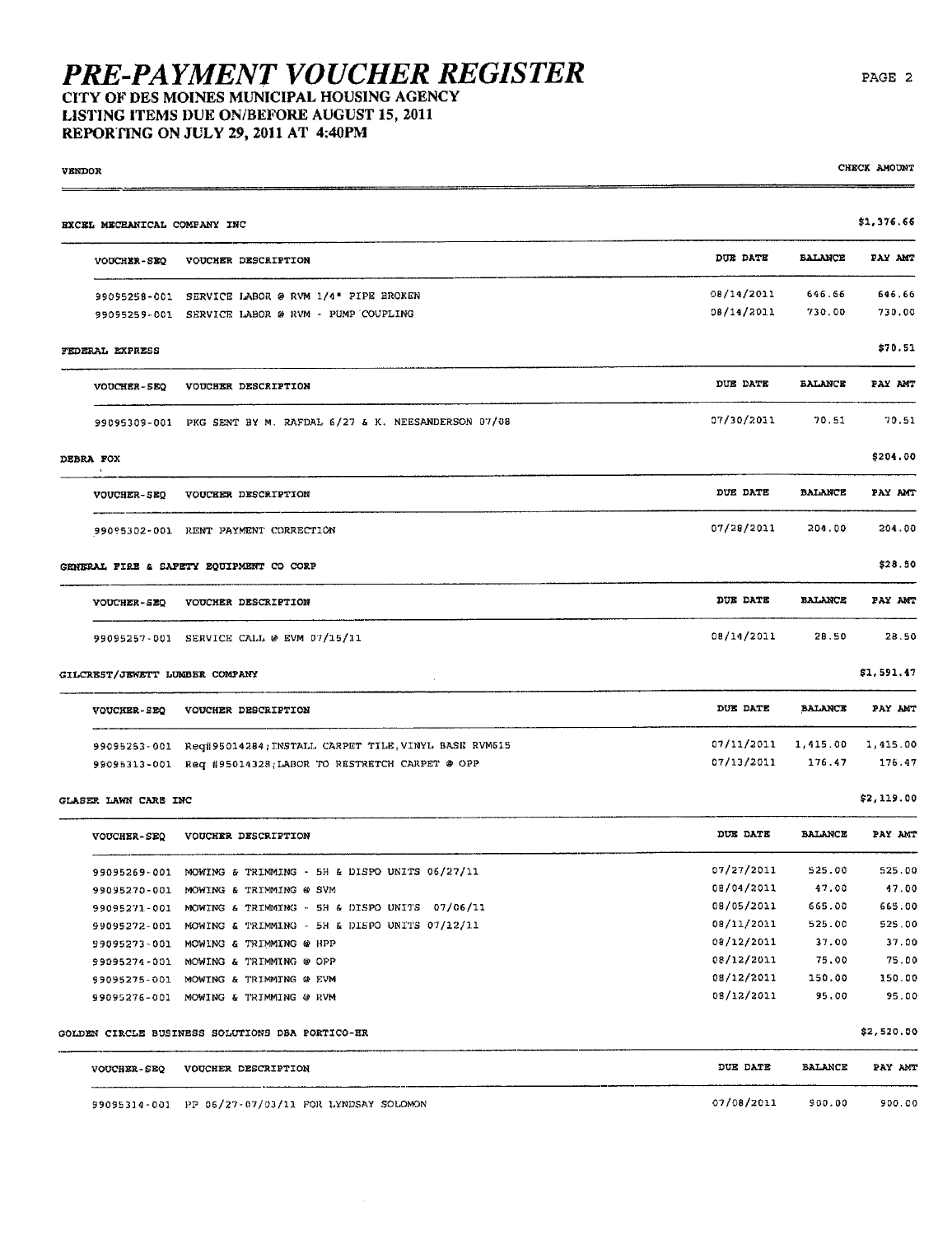## PRE-PAYMENT VOUCHER REGISTER<br>CITY OF DES MOINES MUNICIPAL HOUSING AGENCY LISTING ITEMS DUE ON/BEFORE AUGUST 15, 2011

REPORTING ON JULY 29, 2011 AT 4:40PM

| <b>VENDOR</b>                  |                                                                   |            |                | CHECK AMOUNT |
|--------------------------------|-------------------------------------------------------------------|------------|----------------|--------------|
| EXCEL MECHANICAL COMPANY INC   |                                                                   |            |                | \$1,376.66   |
| <b>VOUCHER-SEQ</b>             | VOUCHER DESCRIPTION                                               | DUE DATE   | <b>BALANCE</b> | PAY AMT      |
|                                | 99095258-001 SERVICE LABOR @ RVM 1/4" PIPE BROKEN                 | 08/14/2011 | 646.66         | 646.66       |
|                                | 99095259-001 SERVICE LABOR @ RVM - PUMP COUPLING                  | 08/14/2011 | 730.00         | 730.00       |
| FEDERAL EXPRESS                |                                                                   |            |                | \$70.51      |
| <b>VOUCHER-SEQ</b>             | VOUCHER DESCRIPTION                                               | DUE DATE   | <b>EALANCE</b> | PAY AMT      |
|                                | 99095309-001 PKG SENT BY M. RAFDAL 6/27 & K. NEESANDERSON 07/08   | 07/30/2011 | 70.51          | 70.51        |
| DEBRA FOX                      |                                                                   |            |                | \$204.00     |
| <b>VOUCHER-SEQ</b>             | VOUCKER DESCRIPTION                                               | DUE DATE   | <b>BALANCE</b> | PAY AMT      |
|                                | 99095302-001 RENT PAYMENT CORRECTION                              | 07/28/2011 | 204.00         | 204.00       |
|                                | GENERAL FIRE & SAFETY EQUIPMENT CO CORP                           |            |                | \$28.50      |
| VOUCHER-SEQ                    | VOUCHER DESCRIPTION                                               | DUE DATE   | <b>BALANCE</b> | PAY AMT      |
|                                | 99095257-001 SERVICE CALL @ EVM 07/15/11                          | 08/14/2011 | 28.50          | 28.50        |
| GILCREST/JEWETT LUMBER COMPANY |                                                                   |            |                | \$1,591.47   |
| <b>VOUCHER-SEQ</b>             | VOUCHER DESCRIPTION                                               | DUE DATE   | <b>BALANCE</b> | PAY ANT      |
|                                | 99095253-001 Reg#95014284; INSTALL CARPET TILE, VINYL BASE RVM615 | 07/11/2011 | 1,415.00       | 1,415.00     |
|                                | 99095313-001 Req #95014328; LABOR TO RESTRETCH CARPET @ OPP       | 07/13/2011 | 176.47         | 176.47       |
| GLASER LAWN CARE INC           |                                                                   |            |                | \$2,119.00   |
| <b>VOUCHER-SEQ</b>             | VOUCHER DESCRIPTION                                               | DUE DATE   | <b>BALANCE</b> | PAY AMT      |
|                                | 99095269-001 MOWING & TRIMMING - 5H & DISPO UNITS 06/27/11        | 07/27/2011 | 525.00         | 525.00       |
|                                | 99095270-001 MOWING & TRIMMING @ SVM                              | 08/04/2011 | 47.00          | 47.00        |
|                                | 99095271-001 MOWING & TRIMMING - 5H & DISPO UNITS 07/06/11        | 08/05/2011 | 665.00         | 665.00       |
|                                | 99095272-001 MOWING & TRIMMING - 5H & DISPO UNITS 07/12/11        | 08/11/2011 | 525.00         | 525.00       |
|                                | 99095273-001 MOWING & TRIMMING @ HPP                              | 08/12/2011 | 37.00          | 37.00        |
|                                | 99095274-001 MOWING & TRIMMING @ OPP                              | 08/12/2011 | 75.00          | 75.00        |
|                                | 99095275-001 MOWING & TRIMMING @ EVM                              | 08/12/2011 | 150.00         | 150.00       |
|                                | 99095276-001 MOWING & TRIMMING @ RVM                              | 08/12/2011 | 95.00          | 95.00        |
|                                | GOLDEN CIRCLE BUSINESS SOLUTIONS DBA PORTICO-HR                   |            |                | \$2,520.00   |
| <b>VOUCHER-SEQ</b>             | VOUCHER DESCRIPTION                                               | DUE DATE   | BALANCE        | PAY AMT      |

| VOUCHER-SEQ VOUCHER DESCRIPTION |  |  |
|---------------------------------|--|--|
|                                 |  |  |
|                                 |  |  |
|                                 |  |  |

99095314-001 PP 06/27-07/03/11 FOR LYNDSAY SOLOMON

07/08/2011 900.00 900.00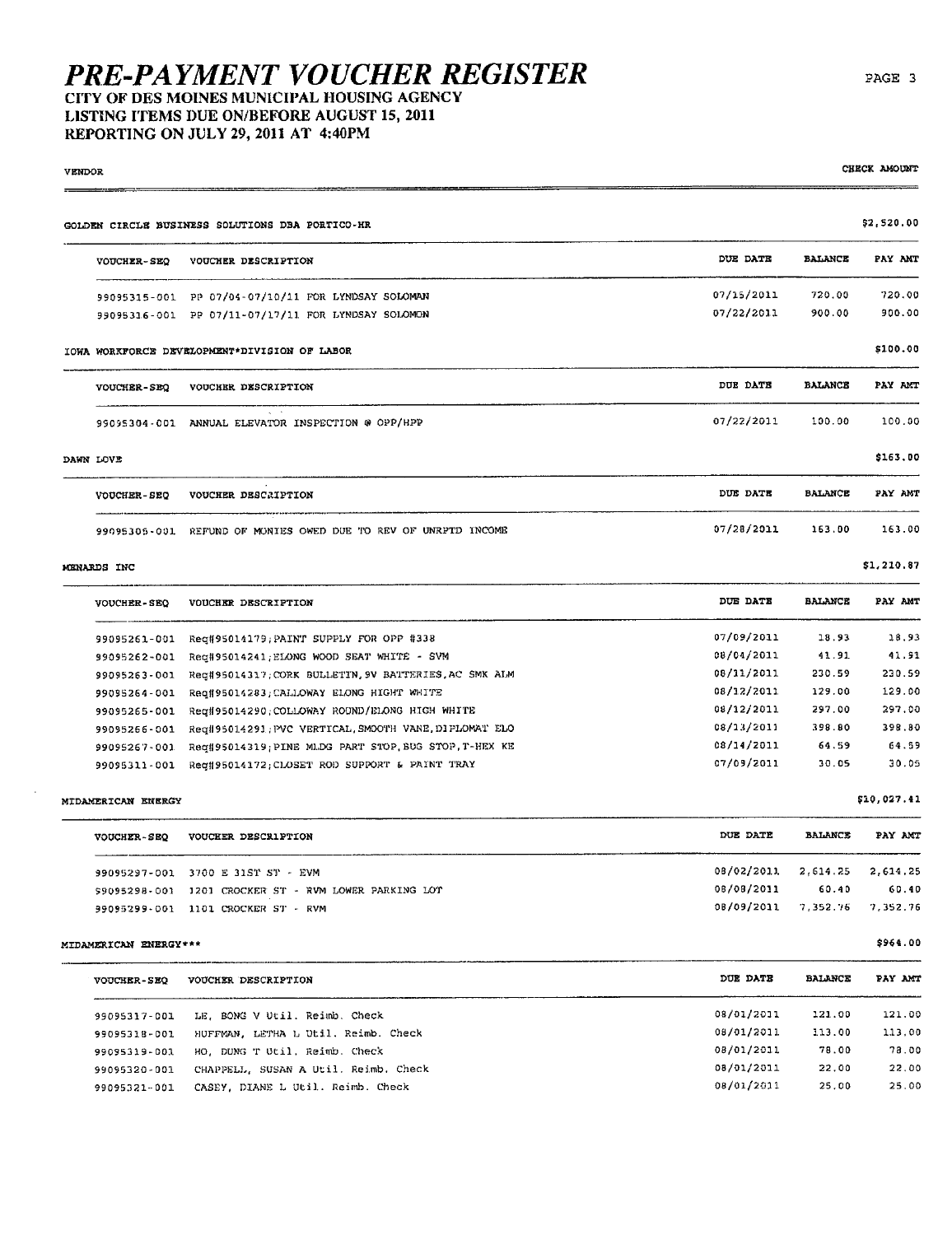#### LISTING ITEMS DUE ON/BEFORE AUGUST 15, 2011 REPORTING ON JULY 29, 2011 AT 4:40PM

| VENDOR                |                                                                                    |            |                | CHECK AMOUNT |
|-----------------------|------------------------------------------------------------------------------------|------------|----------------|--------------|
|                       | GOLDEN CIRCLE BUSINESS SOLUTIONS DBA PORTICO-HR                                    |            |                | \$2,520.00   |
| <b>VOUCHER-SEO</b>    | VOUCHER DESCRIPTION                                                                | DUE DATE   | <b>BALANCE</b> | PAY AMT      |
|                       | 99095315-001 PP 07/04-07/10/11 FOR LYNDSAY SOLOMAN                                 | 07/15/2011 | 720.00         | 720.00       |
|                       | 99095316-001 PP 07/11-07/17/11 FOR LYNDSAY SOLOMON                                 | 07/22/2011 | 900.00         | 900.00       |
|                       | IOWA WORKFORCE DEVELOPMENT*DIVISION OF LABOR                                       |            |                | \$100.00     |
| <b>VOUCHER-SEQ</b>    | VOUCHER DESCRIPTION                                                                | DUE DATE   | <b>BALANCE</b> | PAY AMT      |
|                       | $\mathbf{q}_i = \mathbf{q}_i$<br>99095304-001 ANNUAL ELEVATOR INSPECTION @ OPP/HPP | 07/22/2011 | 100.00         | 100.00       |
| DAWN LOVE             |                                                                                    |            |                | \$163.00     |
| <b>VOUCHER-SEQ</b>    | VOUCHER DESCRIPTION                                                                | DUE DATE   | <b>BALANCE</b> | PAY AMT      |
|                       | 99095305-001 REFUND OF MONIES OWED DUE TO REV OF UNRPTD INCOME                     | 07/28/2011 | 163.00         | 163.00       |
| MENARDS INC           |                                                                                    |            |                | \$1,210.87   |
| <b>VOUCHER-SEQ</b>    | VOUCHER DESCRIPTION                                                                | DUE DATE   | <b>BALANCE</b> | PAY AMT      |
| 99095261-001          | Reg#95014179;PAINT SUPPLY FOR OPP #338                                             | 07/09/2011 | 18.93          | 18.93        |
| 99095262-001          | Reg#95014241; ELONG WOOD SEAT WHITE - SVM                                          | 08/04/2011 | 41.91          | 41.91        |
| 99095263-001          | Reg#95014317; CORK BULLETIN, 9V BATTERIES, AC SMK ALM                              | 08/11/2011 | 230.59         | 230.59       |
| 99095264-001          | Req#95014283;CALLOWAY ELONG HIGHT WHITE                                            | 08/12/2011 | 129.00         | 129.00       |
| 99095265-001          | Req#95014290; COLLOWAY ROUND/ELONG HIGH WHITE                                      | 08/12/2011 | 297.00         | 297.00       |
| 99095266-001          | Req#95014291 PVC VERTICAL SMOOTH VANE DIPLOMAT ELO                                 | 08/13/2011 | 398.80         | 398.80       |
| 99095267-001          | Req#95014319; PINE MLDG PART STOP, BUG STOP, T-HEX KE                              | 08/14/2011 | 64.59          | 64.59        |
| 99095311-001          | Req#95014172; CLOSET ROD SUPPORT & PAINT TRAY                                      | 07/09/2011 | 30.05          | 30.05        |
| MIDAMERICAN ENERGY    |                                                                                    |            |                | \$10,027.41  |
| VOUCHER-SEQ           | VOUCHER DESCRIPTION                                                                | DUE DATE   | <b>BALANCE</b> | PAY ANT      |
|                       | 99095297-001 3700 E 31ST ST - EVM                                                  | 08/02/2011 | 2,614.25       | 2,614.25     |
|                       | \$9095298-001 1201 CROCKER ST - RVM LOWER PARKING LOT                              | 08/08/2011 | 60.40          | 60.40        |
|                       | 99095299-001 1101 CROCKER ST - RVM                                                 | 0B/09/2011 | 7.352.76       | 7,352.76     |
| MIDAMERICAN ENERGY*** |                                                                                    |            |                | \$964.00     |
| <b>VOUCHER-SEQ</b>    | VOUCHER DESCRIPTION                                                                | DUE DATE   | <b>BALANCE</b> | PAY AMT      |
| 99095317-001          | LE, BONG V Util. Reimb. Check                                                      | 08/01/2011 | 121.00         | 121.00       |
| 99095318-001          | HUFFMAN, LETHA L Otil. Reimb. Check                                                | 08/01/2011 | 113.00         | 113.00       |
| 99095319-001          | HO, DUNG T Util, Reimb. Check                                                      | 08/01/2011 | 78.00          | 78.00        |
| 99095320-001          | CHAPPELL, SUSAN A Util. Reimb. Check                                               | 08/01/2011 | 22,00          | 22.00        |
| 99095321-001          | CASEY, DIANE L Util. Reimb. Check                                                  | 08/01/2011 | 25,00          | 25.00        |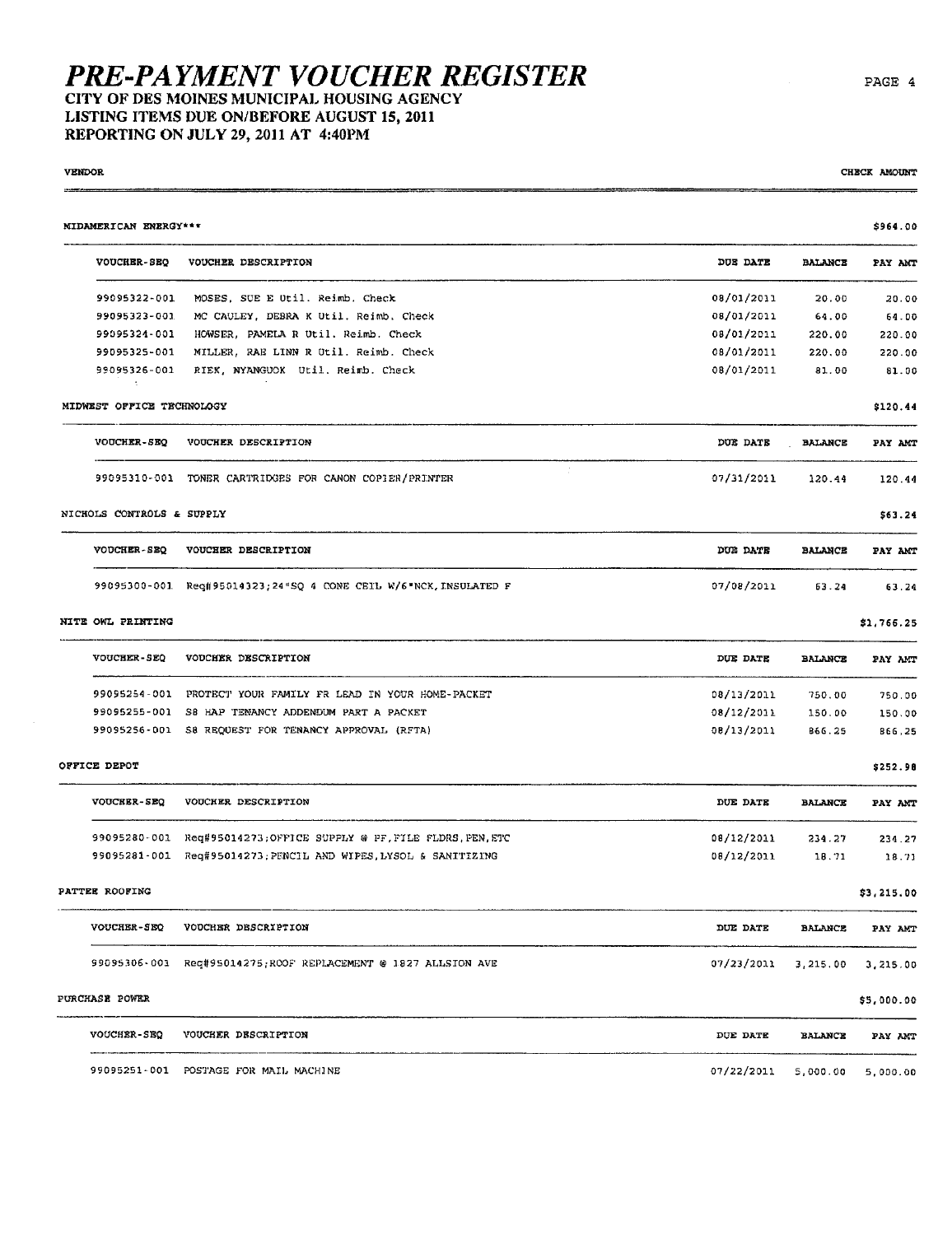LISTING ITEMS DUE ON/BEFORE AUGUST 15, 2011 REPORTING ON JULY 29,2011 AT 4:40PM

| NIDAMERICAN ENERGY***     |                                                                    |            |                | \$964.00   |
|---------------------------|--------------------------------------------------------------------|------------|----------------|------------|
| <b>VOUCHER-SEQ</b>        | VOUCHER DESCRIPTION                                                | DUE DATE   | <b>BALANCE</b> | PAY AMT    |
| 99095322-001              | MOSES, SUE E Util. Reimb, Check                                    | 08/01/2011 | 20.00          | 20.00      |
| 99095323-001              | MC CAULEY, DEBRA K Util. Reimb. Check                              | 08/01/2011 | 64.00          | 64.00      |
| 99095324-001              | HOWSER, PAMELA R Util. Reimb. Check                                | 08/01/2011 | 220.00         | 220.00     |
| 99095325-001              | MILLER, RAE LINN R Util. Reimb. Check                              | 08/01/2011 | 220.00         | 220.00     |
| 99095326-001<br>-11       | RIEK, NYANGUOK Util, Reimb. Check                                  | 08/01/2011 | 81.00          | 81.00      |
| MIDWEST OFFICE TECHNOLOGY |                                                                    |            |                | \$120.44   |
| <b>VOUCHER-SEQ</b>        | VOUCHER DESCRIPTION                                                | DOE DATE   | <b>BALANCE</b> | PAY AMT    |
|                           | 99095310-001 TONER CARTRIDGES FOR CANON COPIER/PRINTER             | 07/31/2011 | 120.44         | 120.44     |
| NICHOLS CONTROLS & SUPPLY |                                                                    |            |                | \$63.24    |
| VOUCHER-SEQ               | VOUCHER DESCRIPTION                                                | DUE DATE   | <b>BALANCE</b> | PAY AMT    |
|                           | 99095300-001 Reg#95014323;24"SQ 4 CONE CEIL W/6"NCK, INSULATED F   | 07/08/2011 | 63.24          | 63.24      |
| NITE OWL PRINTING         |                                                                    |            |                | \$1,766.25 |
| <b>VOUCHER-SEQ</b>        | VOUCHER DESCRIPTION                                                | DUE DATE   | <b>BALANCE</b> | PAY AMT    |
|                           | 99095254-001 PROTECT YOUR FAMILY FR LEAD IN YOUR HOME-PACKET       | 08/13/2011 | 750.00         | 750.00     |
|                           | 99095255-001 S8 HAP TENANCY ADDENDUM PART A PACKET                 | 08/12/2011 | 150.00         | 150.00     |
|                           | 99095256-001 S8 REQUEST FOR TENANCY APPROVAL (RFTA)                | 08/13/2011 | 866.25         | 866,25     |
| OFFICE DEPOT              |                                                                    |            |                | \$252.98   |
| VOUCHER-SEQ               | VOUCHER DESCRIPTION                                                | DUE DATE   | <b>BALANCE</b> | PAY ANT    |
|                           | 99095280-001 Req#95014273;OFFICE SUPPLY @ PF. FILE FLDRS. PEN. ETC | 08/12/2011 | 234.27         | 234.27     |
|                           | 99095281-001 Req#95014273; PENCIL AND WIPES, LYSOL & SANITIZING    | 08/12/2011 | 18.71          | 18.71      |
| PATTEE ROOFING            |                                                                    |            |                | \$3,215.00 |
| <b>VOUCHER-SEQ</b>        | VOUCHER DESCRIPTION                                                | DUE DATE   | <b>BALANCE</b> | PAY AMT    |
|                           | 99095306-001 Req#95014275;ROOF REPLACEMENT @ 1827 ALLSTON AVE      | 07/23/2011 | 3,215.00       | 3,215.00   |
| PURCHASE POWER            |                                                                    |            |                | \$5,000.00 |
| VOUCHER-SEQ               | VOUCHER DESCRIPTION                                                | DUE DATE   | <b>BALANCE</b> | PAY ANT    |
|                           | 99095251-001 POSTAGE FOR MAIL MACHINE                              | 07/22/2011 | 5,000.00       | 5,000.00   |

vendor  $\sim$  chieck amount  $\sim$  chieck amount  $\sim$  chieck amount  $\sim$  chieck amount  $\sim$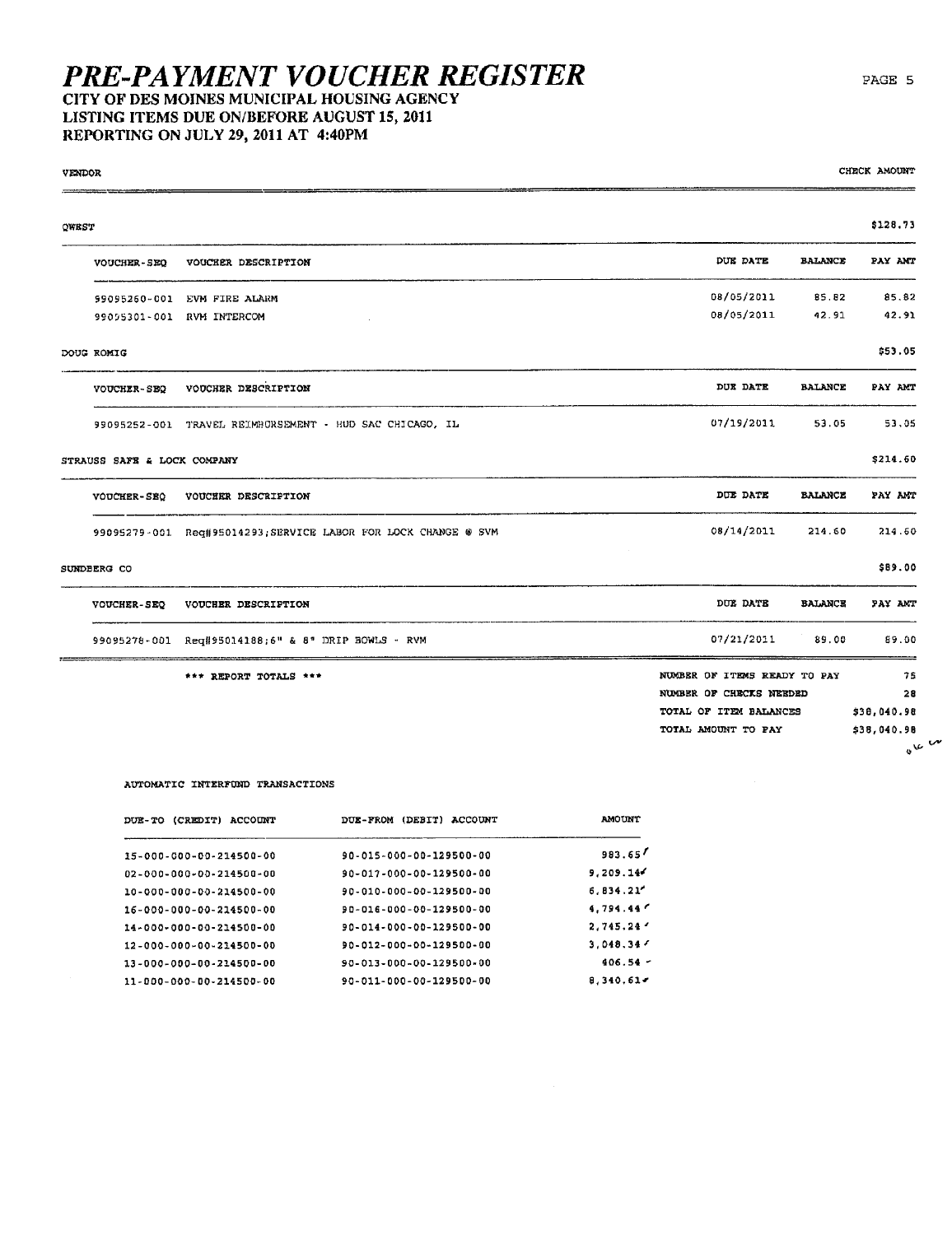LISTING ITEMS DUE ON/BEFORE AUGUST 15, 2011 REPORTING ON JULY 29, 2011 AT 4:40PM

| VENDOR                      |                                                                |                              | CHECK ANOUNT |
|-----------------------------|----------------------------------------------------------------|------------------------------|--------------|
| QWEST                       |                                                                |                              | \$128.73     |
| <b>VOUCHER-SEQ</b>          | VOUCHER DESCRIPTION                                            | DUE DATE<br><b>BALANCE</b>   | PAY ANT      |
| 99095260-001                | EVM FIRE ALARM                                                 | 08/05/2011<br>85.82          | 85.82        |
|                             | 99095301-001 RVM INTERCOM                                      | 08/05/2011<br>42.91          | 42.91        |
| DOUG ROMIG                  |                                                                |                              | \$53.05      |
| <b>VOUCHER-SEQ</b>          | VOUCHER DESCRIPTION                                            | DUE DATE<br><b>BALANCE</b>   | PAY AMT      |
|                             | 99095252-001 TRAVEL REIMBURSEMENT - HUD SAC CHICAGO, IL        | 07/19/2011<br>53.05          | 53.05        |
| STRAUSS SAFE & LOCK COMPANY |                                                                |                              | \$214.60     |
| <b>VOUCHER-SEO</b>          | VOUCHER DESCRIPTION                                            | DUE DATE<br><b>BALANCE</b>   | PAY ANT      |
|                             | 99095279-001 Req#95014293; SERVICE LABOR FOR LOCK CHANGE @ SVM | 08/14/2011<br>214.60         | 214.60       |
| SUNDEERG CO                 |                                                                |                              | \$89.00      |
| VOUCHER-SEQ                 | VOUCHER DESCRIPTION                                            | DUE DATE<br><b>BALANCE</b>   | PAY ANT      |
|                             | 99095278-001 Req#95014188;6" & 8" DRIP BOWLS - RVM             | 07/21/2011<br>89.00          | 89.00        |
|                             | *** REPORT TOTALS ***                                          | NUMBER OF ITEMS READY TO PAY | 75           |
|                             |                                                                | NUMBER OF CHECKS NEEDED      | 28           |
|                             |                                                                | TOTAL OF ITEM BALANCES       | \$38,040.98  |
|                             |                                                                | TOTAL AMOUNT TO PAY          | \$38,040.98  |
|                             |                                                                |                              | $0^{k}$      |

#### AUTOMATIC INTERFUND TRANSACTIONS

| DUE-TO (CREDIT) ACCOUNT | (DEBIT)<br>ACCOUNT<br><b>DUE-FROM</b> | <b>AMOUNT</b> |
|-------------------------|---------------------------------------|---------------|
| 15-000-000-00-214500-00 | 90-015-000-00-129500-00               | 983.65        |
| 02-000-000-00-214500-00 | 90-017-000-00-129500-00               | 9.209.14      |
| 10-000-000-00-214500-00 | 90-010-000-00-129500-00               | 6.834.21''    |
| 16-000-000-00-214500-00 | 90-016-000-00-129500-00               | 4.794.44      |
| 14-000-000-00-214500-00 | 90-014-000-00-129500-00               | 2.745.24'     |
| 12-000-000-00-234500-00 | 90-012-000-00-129500-00               | 3.048.347     |
| 13-000-000-00-214500-00 | 90-013-000-00-129500-00               | $406.54 -$    |
| 11-000-000-00-214500-00 | 90-011-000-00-129500-00               | 8.340.61      |
|                         |                                       |               |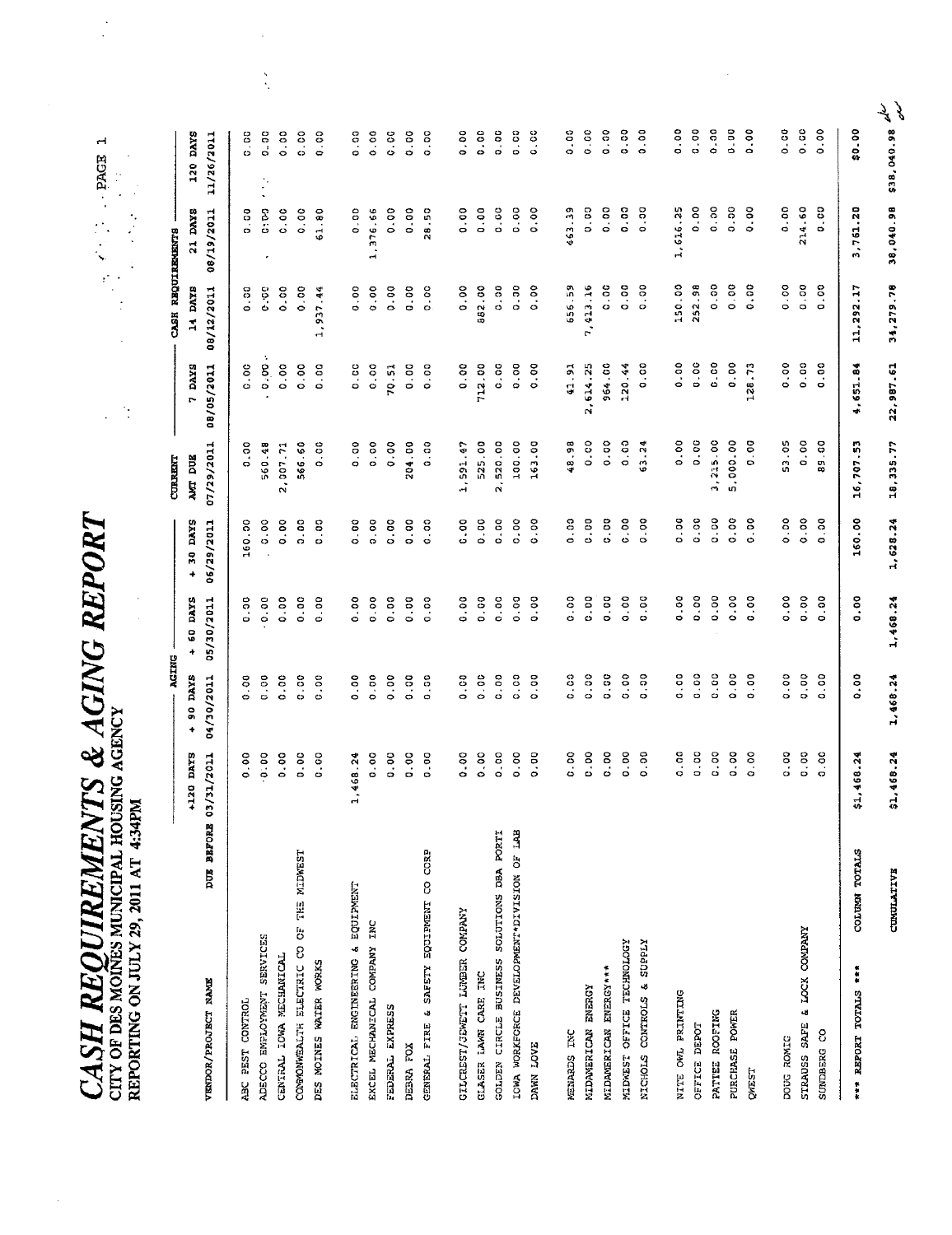| ICOURD DUPLY<br>Ĩ.<br>$\alpha$ and $\alpha$ |                                             |                                     |
|---------------------------------------------|---------------------------------------------|-------------------------------------|
| <b>CASH REQUIREMENTS &amp; A</b>            | CITY OF DES MOINES MUNICIPAL HOUSING AGENCY | REPORTING ON JULY 29, 2011 AT 4:34P |

 $\bar{\mathcal{A}}$ 

 $\frac{1}{2}$ 

 $\frac{1}{2}$ 

 $\frac{1}{2}$ 

 $\frac{1}{\sqrt{2}}$ 

 $\frac{1}{2}$ 

|                                            |               |              | ACING       |             |              | <b>CURRENT</b> |             | CASH REQUIREMENTS    |             |                              |
|--------------------------------------------|---------------|--------------|-------------|-------------|--------------|----------------|-------------|----------------------|-------------|------------------------------|
|                                            |               | +120 DAYS    | $+ 90$ DAYS | $+ 60$ DAYS | + 30 DAYS    | AMT DUE        | 7 DAYS      | 14 DAYS              | 21 DAYS     | 120 DAYS                     |
| VENDOR/PROJECT NAME                        | DUE BEFORE    | 03/31/2011   | 04/30/2011  | 05/30/2011  | 06/29/2011   | 07/29/2011     | 08/05/2011  | 08/12/2011           | 08/19/2011  | 11/26/2011                   |
| ABC PEST CONTROL                           |               | 0.00         | 0.00        | 0.00        | 160.00       | 0.00           | 0.00        | 0.00                 | 0.00        | <b>C</b> 00                  |
| ADECCO EMPLOYMENT SERVICES                 |               | 0.00         | 0.00        | 0.00        | 0.00         | 560.48         | 0.00.0      | 0.00                 | C: DO       | <b>D. 00</b><br>$\mathbb{P}$ |
| CENTRAL IOWA MECHANICAL                    |               | 0.00         | 0.00        | 0.00        | 0.00         | 2,007.71       | 0.00        | 0.00                 | 0.00        | 0.00                         |
| COMMONWEALTH ELECTRIC CO OF THE MIDWEST    |               | 0.00         | 0.00        | 0.00        | 0.00         | 566.60         | 0.00        | 0.00                 | 0.00        | 0.00                         |
| DES MOINES WATER WORKS                     |               | 0.00         | 0.00        | 0.00        | 0.00         | 0.00           | 0.00        | 937 44<br>$\ddot{ }$ | 61.80       | 0.00                         |
| ELECTRICAL ENGINEERING & EQUIPMENT         |               | 1,468.24     | 0.00        | 0.00        | 0.00         | 0.00           | 0.00        | 0.00                 | 0.00        | 0.00                         |
| EXCEL MECHANICAL COMPANY INC               |               | 0.00         | 0.00        | 0.00        | 0.00         | 0.00           | 0.00        | 0.00                 | 1,376.56    | 0.00                         |
| FEDERAL EXPRESS                            |               | 0.00         | 0.00        | 0.00        | 0.00         | 0.00           | 70.51       | 0.00                 | 0.00        | 0.00                         |
| DEBRA FOX                                  |               | 0.00         | 0.00        | 0.00        | 0.00         | 204.00         | 0.00        | 0.00                 | 0.00        | 0.00                         |
| GENERAL FIRE & SAFETY EQUIPMENT CO CORP    |               | <b>D-00</b>  | 0.50        | 0.00        | 0.00         | 0.00           | 0.00        | 0.00                 | 28.50       | 0.00                         |
| GILCREST/JEWETT LUMBER COMPANY             |               | 0.00         | 0.00        | 0.00        | <b>C</b> - 0 | 1,591.47       | 0.00        | 0.00                 | 0.00        | 0.00                         |
| CLASER LAWN CARE INC                       |               | 0.00         | 0.00        | 0.00        | 0.00         | 525.00         | 712.00      | 882.00               | 0.00        | 0.00                         |
| GOLDEN CIRCLE BUSINESS SOLUTIONS DEA PORTI |               | 0.00         | 0.00        | 0.00        | 0.00         | 2,520.00       | <b>00.0</b> | 0.00                 | 0.00        | 0.00                         |
| IOWA WORKFORCE DEVELOPMENT DIVISION OF LAB |               | 0.00         | 0.00        | 0.00        | 0.00         | 100.00         | 0.00        | 0.30                 | 0.00        | 0.00                         |
| DANN LOVE                                  |               | <b>00.00</b> | 0.00        | 0.00        | 0.00         | 163.00         | 0.00        | 0.00                 | 0.00        | 0.00                         |
| MENARDS INC                                |               | 0.00         | 0.00        | 0.00        | 0.00         | 48.98          | 41.91       | 656.59               | 463.39      | 0.00                         |
| MIDAMERICAN ENERGY                         |               | 0.00         | 0.00        | 00.0        | 0.00         | 0.00           | 2,614.25    | 7,413.16             | 0.00        | 0.00                         |
| MIDAMERICAN ENERGY***                      |               | 0.00         | 0.50        | 0.00        | 0.00         | 0.00           | 964.00      | 0.00                 | 0.00        | 0.00                         |
| MIDWEST OFFICE TECHNOLOGY                  |               | 0.00         | 0.00        | 0.00        | 0.00         | 0.00           | 120.44      | 0.00                 | <b>00.0</b> | 0.00                         |
| NICHOLS CONTROLS & SUPPLY                  |               | 0.00         | 0.00        | 0.00        | $0 - 00$     | 63.24          | o<br>o<br>o | 0.00                 | 0.00        | 0.00                         |
| NITE OWL PRINTING                          |               | 0.00         | 0.00        | 0.00        | 0.00         | 0.00           | 0.00        | 150.00               | 1,616.25    | 0.00                         |
| <b>CEFICE DEPOT</b>                        |               | <b>90.0</b>  | 0.00        | 0.00        | 0.00         | 0.00           | 0.00        | 252.98               | 0.00        | 0.00                         |
| PATTEE ROOFING                             |               | 0.00         | 0.00        | 0.00        | 0.00         | 3,225.00       | 0.00        | 0.00                 | 0.00        | 0.00                         |
| PURCHASE POWER                             |               | 0.00         | 0.00        | 0.00        | 0.00         | 5,000.00       | 0.00        | 0.00                 | 0.00        | $0 - 00$                     |
| QWEST                                      |               | 0.00         | 0.00        | 0.00        | 0.00         | 0.00           | 128.73      | 0.00                 | 0.00        | 0.00                         |
| DOUG ROMIC                                 |               | 0.00         | 0.00        | 0.00        | 0.00         | 53.05          | 0.00        | 0.00                 | 0.00        | 0.00                         |
| & LOCK COMPANY<br>STRAUSS SAFE             |               | 0.00         | 0.00        | 0.00        | 0.00         | 0.00           | 0.00        | 0.00                 | 214.60      | 0.00                         |
| SUNDBERG CO                                |               | 0.00         | 0.00        | 0.00        | 0.00         | 89.00          | 0.00        | 0.00                 | 0.00        | 0.00                         |
| *** REPORT TOTALS ***                      | COLUMN TOTALS | \$1,468.24   | 0.00        | 0.00        | 160.00       | 16,707.53      | 4,651.84    | 11,292.17            | 3,761.20    | \$0.00                       |
|                                            | CUMULATIVE    | \$1,468.24   | 1,468.24    | 1,468.24    | 1,628.24     | 18,335.77      | 22,987.61   | 34,279.78            | 38,040.98   | \$38,040.98                  |

 $\begin{matrix} \frac{1}{2} & \frac{1}{2} \\ \frac{1}{2} & \frac{1}{2} \end{matrix}$ 

 $\overline{\phantom{a}}$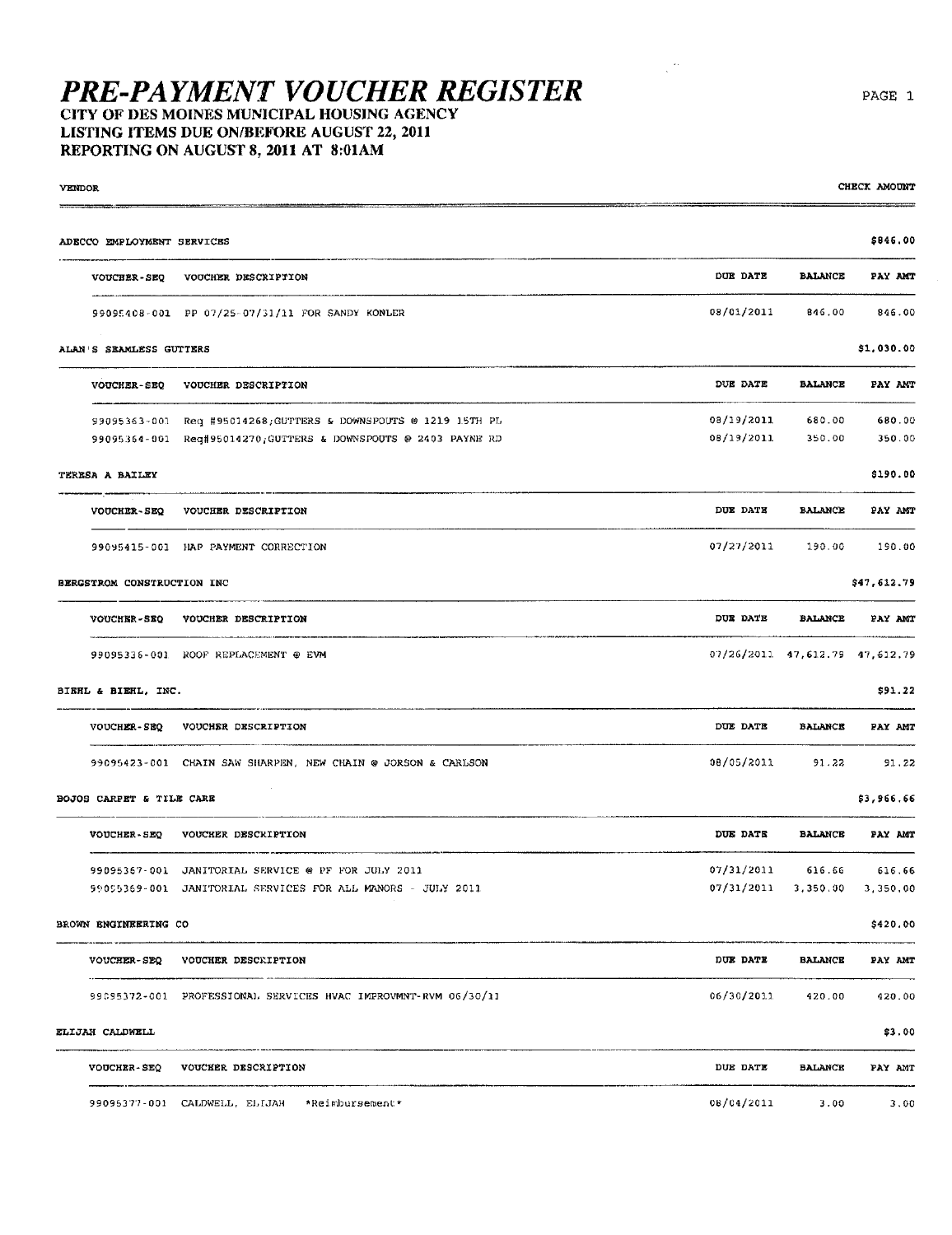### LISTING ITEMS DUE ON/BEFORE AUGUST 22, 2011 REPORTING ON AUGUST 8, 2011 AT 8:01AM

| VENDOR                     |                                                                                                                                    |                                  |                  | CHECK AMOUNT     |
|----------------------------|------------------------------------------------------------------------------------------------------------------------------------|----------------------------------|------------------|------------------|
| ADECCO EMPLOYMENT SERVICES |                                                                                                                                    |                                  |                  | \$846.00         |
| <b>VOUCHER-SEQ</b>         | VOUCHER DESCRIPTION                                                                                                                | DUE DATE                         | <b>BALANCE</b>   | PAY AMT          |
|                            | 99095408-001 PP 07/25-07/31/11 FOR SANDY KONLER                                                                                    | 08/01/2011                       | 846.00           | 846.00           |
| ALAN'S SEAMLESS GUTTERS    |                                                                                                                                    |                                  |                  | \$1,030.00       |
| <b>VOUCHER-SEQ</b>         | VOUCHER DESCRIPTION                                                                                                                | DUE DATE                         | <b>BALANCE</b>   | PAY ANT          |
|                            | 99095363-001 Req #95014268; GUTTERS & DOWNSPOUTS @ 1219 15TH PL<br>99095364-001 Reg#95014270; GUTTERS & DOWNSPOUTS @ 2403 PAYNE RD | 08/19/2011<br>08/19/2011         | 680.00<br>350.00 | 680.00<br>350.00 |
| TERESA A BAILEY            |                                                                                                                                    |                                  |                  | \$190.00         |
| <b>VOUCHER-SEQ</b>         | VOUCHER DESCRIPTION                                                                                                                | DUE DATE                         | <b>BALANCE</b>   | PAY AMT          |
|                            | 99095415-001 HAP PAYMENT CORRECTION                                                                                                | 07/27/2011                       | 190.00           | 190.00           |
| BERGSTROM CONSTRUCTION INC |                                                                                                                                    |                                  |                  | \$47,612.79      |
| VOUCHER-SEQ                | VOUCHER DESCRIPTION                                                                                                                | DUE DATE                         | <b>BALANCE</b>   | PAY AMT          |
|                            | 99095336-001 ROOF REPLACEMENT @ EVM                                                                                                | 07/26/2011 47,612.79 47,612.79   |                  |                  |
| BIERL & BIERL, INC.        |                                                                                                                                    |                                  |                  | \$91.22          |
| <b>VOUCHER-SEQ</b>         | VOUCHER DESCRIPTION                                                                                                                | DUE DATE                         | <b>BALANCE</b>   | PAY AMT          |
|                            | 99095423-001 CHAIN SAW SHARPEN, NEW CHAIN @ JORSON & CARLSON                                                                       | 08/05/2011                       | 91.22            | 91.22            |
| BOJOS CARPET & TILE CARE   |                                                                                                                                    |                                  |                  | \$3,966.66       |
| VOUCHER-SEQ                | VOUCHER DESCRIPTION                                                                                                                | DUE DATE                         | <b>BALANCE</b>   | PAY AMT          |
|                            | 99095367-001 JANITORIAL SERVICE @ PF FOR JULY 2011                                                                                 | 07/31/2011                       | 616.66           | 616.66           |
|                            | 99005369-001 JANITORIAL SERVICES FOR ALL MANORS - JULY 2011                                                                        | $07/31/2011$ 3, 350.00 3, 350.00 |                  |                  |
| BROWN ENGINEERING CO       |                                                                                                                                    |                                  |                  | \$420.00         |
|                            | VOUCHER-SEQ VOUCHER DESCRIPTION                                                                                                    | DUE DATE                         | <b>BALANCE</b>   | PAY AMT          |
|                            | 99095372-001 PROFESSIONAL SERVICES HVAC IMPROVMNT-RVM 06/30/11                                                                     | 06/30/2011                       | 420.00           | 420.00           |
| ELIJAH CALDWELL            |                                                                                                                                    |                                  |                  | \$3.00           |
|                            | VOUCHER-SEQ VOUCHER DESCRIPTION                                                                                                    | DUE DATE                         | BALANCE          | PAY AMT          |
|                            | 99095377-001 CALDWELL, ELIJAH *Reimbursement*                                                                                      | 08/04/2011                       | 3.00             | 3.00             |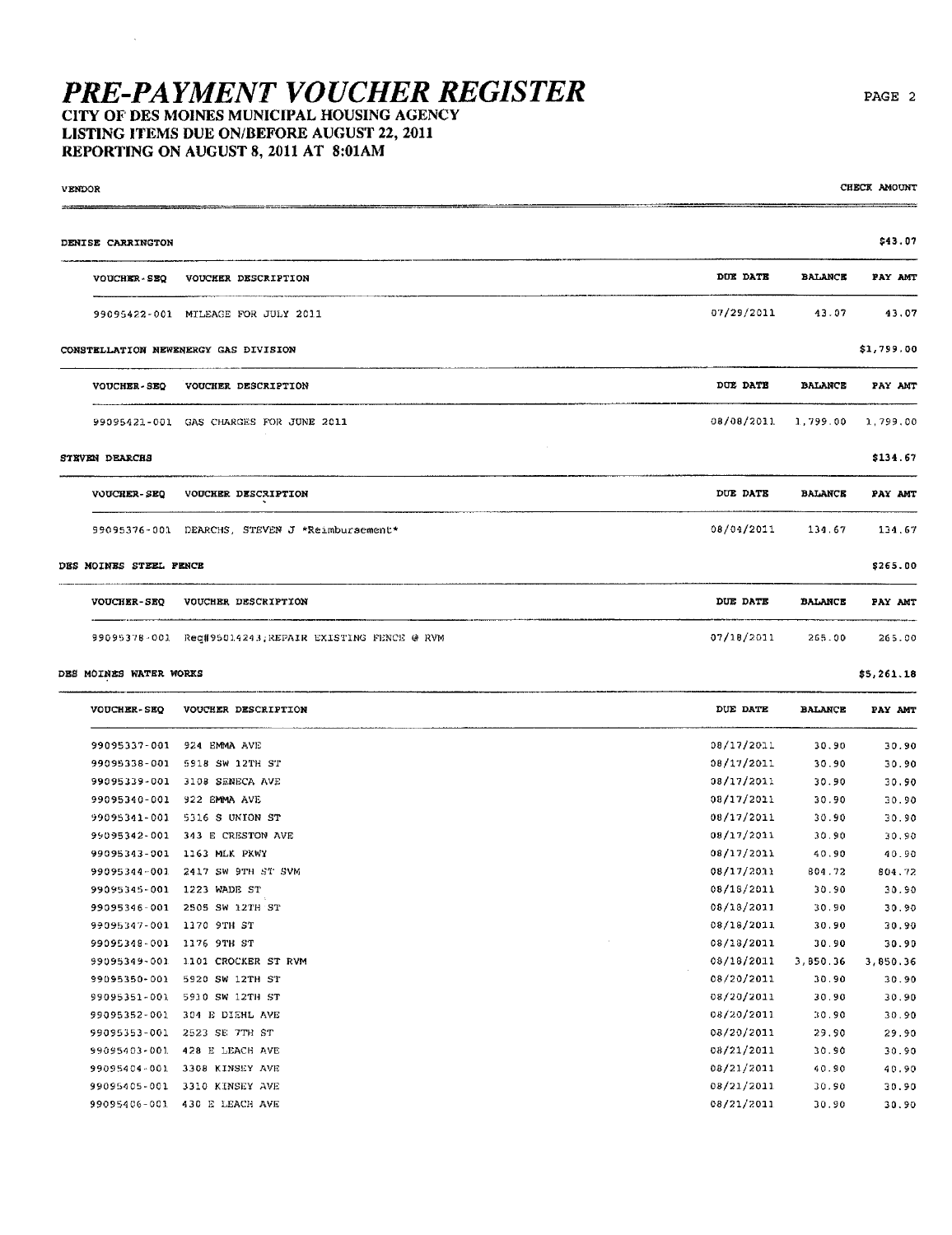#### CITY OF DES MOINES MUNICIPAL HOUSING AGENCY LISTING ITEMS DUE ON/BEFORE AUGUST 22, 2011 REPORTING ON AUGUST 8, 2011 AT 8:01AM

| <b>VENDOR</b> |                        |                                                       |                            | CHECK AMOUNT |
|---------------|------------------------|-------------------------------------------------------|----------------------------|--------------|
|               | DENISE CARRINGTON      |                                                       |                            | \$43.07      |
|               | VOUCHER-SEQ            | VOUCHER DESCRIPTION                                   | DUE DATE<br><b>BALANCE</b> | PAY AMT      |
|               |                        | 99095422-001 MILEAGE FOR JULY 2011                    | 07/29/2011<br>43.07        | 43.07        |
|               |                        | CONSTELLATION NEWENERGY GAS DIVISION                  |                            | \$1,799.00   |
|               | <b>VOUCHER-SEQ</b>     | VOUCHER DESCRIPTION                                   | DUE DATE<br><b>BALANCE</b> | PAY AMT      |
|               |                        | 99095421-001 GAS CHARGES FOR JUNE 2011                | 08/08/2011<br>1,799.00     | 1,799.00     |
|               | STEVEN DEARCHS         |                                                       |                            | \$134.67     |
|               | <b>VOUCHER-SEQ</b>     | VOUCHER DESCRIPTION                                   | DUE DATE<br><b>BALANCE</b> | PAY AMT      |
|               |                        | 99095376-001 DEARCHS, STEVEN J *Reimbursement*        | 08/04/2011<br>134.67       | 134.67       |
|               | DES MOINES STEEL FENCE |                                                       |                            | \$265.00     |
|               |                        | VOUCHER-SEQ VOUCHER DESCRIPTION                       | DUE DATE<br><b>BALANCE</b> | PAY AMT      |
|               |                        | 99095378-001 Reg#95014243;REPAIR EXISTING FENCE @ RVM | 07/18/2011<br>265.00       | 265.00       |

#### DES MOINES WATER WORKS

l,

| <b>VOUCHER-SEO</b> | VOUCHER DESCRIPTION | DUE DATE   | <b>BALANCE</b> | PAY AMT  |
|--------------------|---------------------|------------|----------------|----------|
| 99095337-001       | 924 EMMA AVE        | 08/17/2011 | 30.90          | 30.90    |
| 99095338-001       | 5918 SW 12TH ST     | 08/17/2011 | 30.90          | 30.90    |
| 99095339-001       | 3108 SENECA AVE     | 08/17/2011 | 30.90          | 30.90    |
| 99095340-001       | 922 EMMA AVE        | 08/17/2011 | 30.90          | 30.90    |
| 99095341-001       | 5316 S UNION ST     | 08/17/2011 | 30.90          | 30.90    |
| 99095342-001       | 343 E CRESTON AVE   | 08/17/2011 | 30.90          | 30.90    |
| 99095343-001       | 1163 MLK PKWY       | 08/17/2011 | 40.90          | 40.90    |
| 99095344-001       | 2417 SW 9TH ST SVM  | 08/17/2011 | 804.72         | 804.72   |
| 99095345-001       | 1223 WADE ST        | 08/18/2011 | 30.90          | 30.90    |
| 99095346-001       | 2505 SW 12TH ST     | 08/18/2011 | 30.90          | 30.90    |
| 99095347-001       | 1170 9TH ST         | 08/18/2011 | 30.90          | 30.90    |
| 99095348-001       | 1176 9TH ST         | 08/18/2011 | 30.90          | 30.90    |
| 99095349-001       | 1101 CROCKER ST RVM | 08/18/2011 | 3,850.36       | 3,850.36 |
| 99095350-001       | 5920 SW 12TH ST     | 08/20/2011 | 30.90          | 30.90    |
| 99095351-001       | 5910 SW 12TH ST     | 08/20/2011 | 30.90          | 30.90    |
| 99095352-001       | 304 E DIEHL AVE     | 08/20/2011 | 30 90          | 30.90    |
| 99095353-001       | 2523 SE 7TH ST      | 08/20/2011 | 29.90          | 29.90    |
| 99095403-001       | 428 E LEACH AVE     | 08/21/2011 | 30.90          | 30.90    |
| 99095404-001       | 3308 KINSEY AVE     | 08/21/2011 | 40.90          | 40.90    |
| 99095405-001       | 3310 KINSEY AVE     | 08/21/2011 | 30.90          | 30.90    |
| 99095406-001       | 430 E LEACH AVE     | 08/21/2011 | 30.90          | 30.90    |

 $$5,261.18$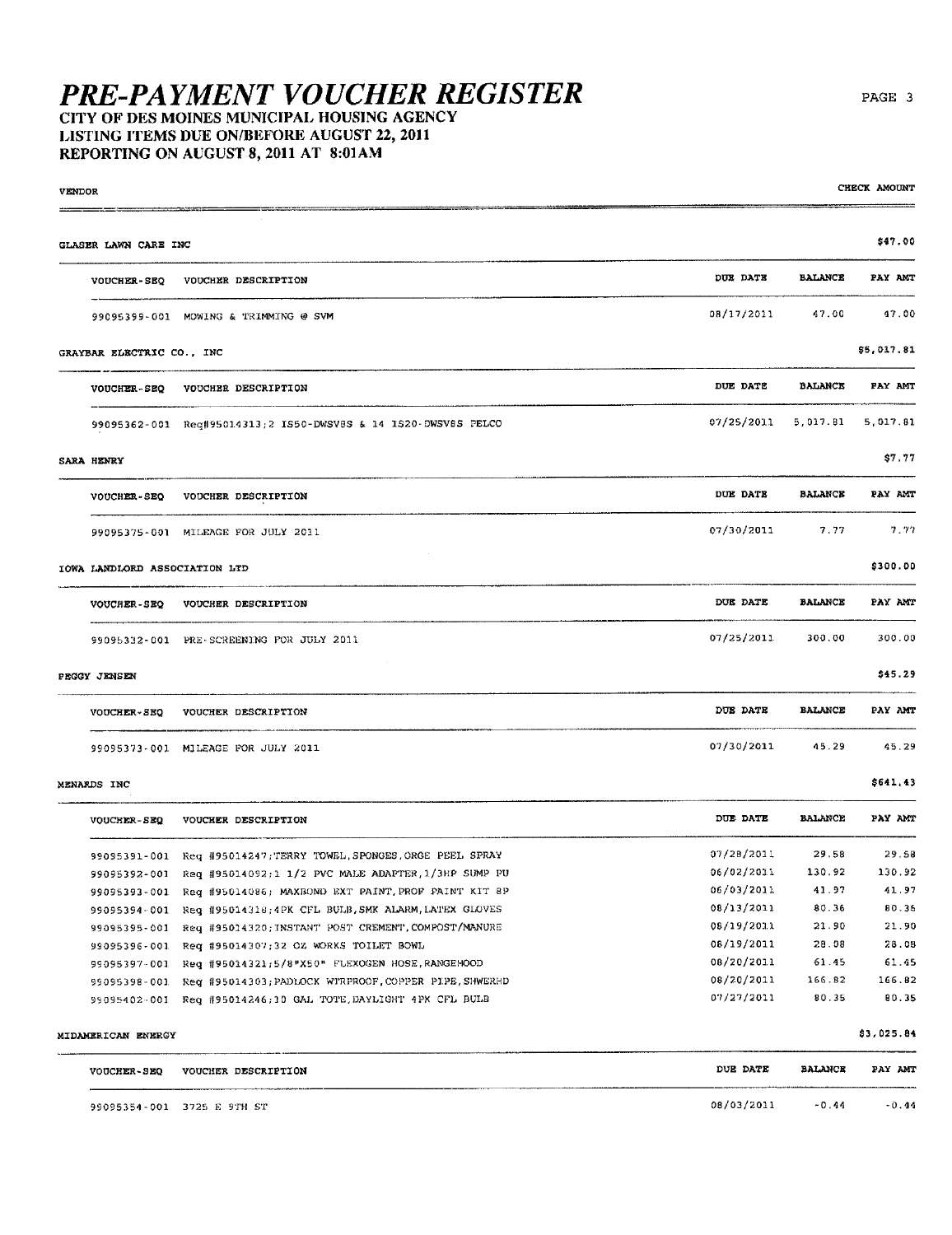### LISTING ITEMS DUE ON/BEFORE AUGUST 22, 2011 REPORTING ON AUGUST 8, 2011 AT 8:01AM

| <b>VENDOR</b> |                               |                                                                    |            |                | CHECK AMOUNT |
|---------------|-------------------------------|--------------------------------------------------------------------|------------|----------------|--------------|
|               | GLASER LAWN CARE INC          |                                                                    |            |                | \$47.00      |
|               | <b>VOUCHER-SEQ</b>            | VOUCHER DESCRIPTION                                                | DUE DATE   | <b>BALANCE</b> | PAY AMT      |
|               |                               | 99095399-001 MOWING & TRIMMING @ SVM                               | 08/17/2011 | 47.00          | 47.00        |
|               | GRAYBAR ELECTRIC CO., INC     |                                                                    |            |                | \$5,017.81   |
|               | VOUCHER-SEQ                   | VOUCHER DESCRIPTION                                                | DUE DATE   | <b>BALANCE</b> | PAY AMT      |
|               |                               | 99095362-001 Req#95014313;2 IS50-DWSV8S & 14 IS20-DWSV8S PELCO     | 07/25/2011 | 5,017.81       | 5,017.81     |
|               | SARA HENRY                    |                                                                    |            |                | \$7.77       |
|               | <b>VOUCHER-SEQ</b>            | VOUCHER DESCRIPTION                                                | DUE DATE   | <b>BALANCE</b> | PAY AMT      |
|               |                               | 99095375-001 MILEAGE FOR JULY 2011                                 | 07/30/2011 | 7.77           | 7.77         |
|               | IOWA LANDLORD ASSOCIATION LTD |                                                                    |            |                | \$300.00     |
|               | VOUCHER-SEQ                   | VOUCHER DESCRIPTION                                                | DUE DATE   | <b>BALANCE</b> | PAY ANT      |
|               |                               | 99095332-001 PRE-SCREENING POR JULY 2011                           | 07/25/2011 | 300.00         | 300.00       |
|               | PEGGY JENSEN                  |                                                                    |            |                | \$45.29      |
|               | <b>VOUCHER-SEQ</b>            | VOUCHER DESCRIPTION                                                | DUE DATE   | <b>BALANCE</b> | PAY AMT      |
|               |                               | 99095373-001 MILEAGE FOR JULY 2011                                 | 07/30/2011 | 45.29          | 45.29        |
|               | MENARDS INC                   |                                                                    |            |                | \$641,43     |
|               | <b>VOUCHER-SEQ</b>            | VOUCHER DESCRIPTION                                                | DUE DATE   | BALANCE        | PAY AMT      |
|               |                               | 99095391-001 Req #95014247; TERRY TOWEL, SPONGES, ORGE PEEL SPRAY  | 07/28/2011 | 29.58          | 29.58        |
|               |                               | 99095392-001 Req #95014092;1 1/2 PVC MALE ADAPTER, 1/3HP SUMP PU   | 06/02/2011 | 130.92         | 130.92       |
|               | 99095393-001                  | Req #95014086; MAXBOND EXT PAINT, PROF PAINT KIT 8P                | 06/03/2011 | 41.97          | 41.97        |
|               | 99095394-001                  | Req #95014318;4PK CFL BULB, SMK ALARM, LATEX GLOVES                | 08/13/2011 | 80.36          | 80.36        |
|               |                               | 99095395-001 Req #95014320; INSTANT POST CREMENT, COMPOST/MANURE   | 08/19/2011 | 21.90          | 21.90        |
|               |                               | 99095396-001 Req #95014307;32 OZ WORKS TOILET BOWL                 | 08/19/2011 | 28.08          | 28.08        |
|               |                               | 99095397-001 Req #95014321;5/8"X50" FLEXOGEN HOSE, RANGEHOOD       | 08/20/2011 | 61.45          | 61.45        |
|               |                               | 99095398-001 Req #95014303; PADLOCK WTRPROOF, COPPER PIPE, SHWERHD | 08/20/2011 | 166.82         | 166.82       |
|               |                               | 99095402-001 Req #95014246;10 GAL TOTE, DAYLIGHT 4PK CFL BULB      | 07/27/2011 | 80.35          | 80.35        |
|               | MIDAMERICAN ENERGY            |                                                                    |            |                | \$3,025.84   |
|               | <b>VOUCHER-SEQ</b>            | VOUCHER DESCRIPTION                                                | DUE DATE   | <b>BALANCE</b> | PAY AMT      |
|               |                               | 99095354-001 3725 E 9TH ST                                         | 08/03/2011 | $-0.44$        | $-0.44$      |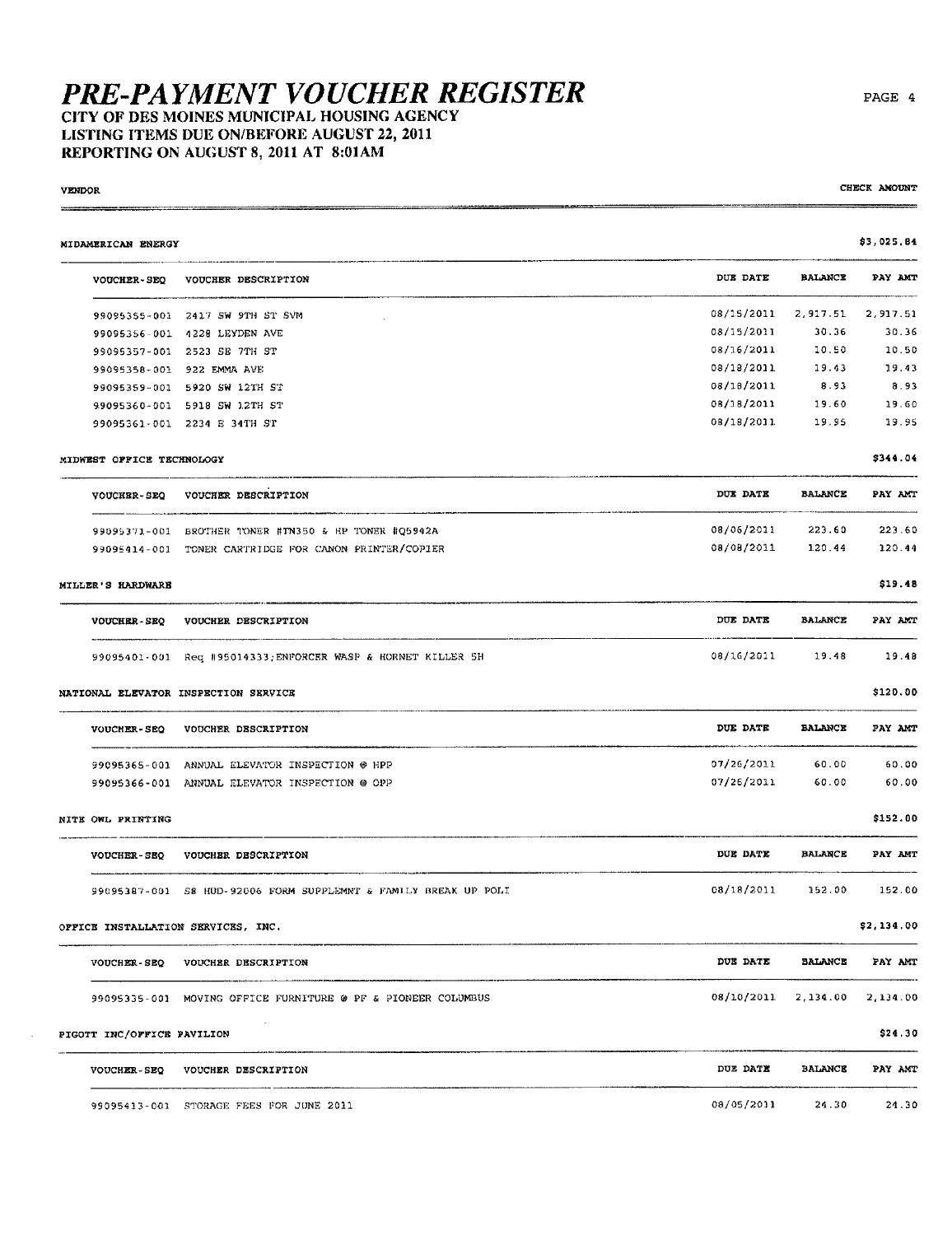#### CITY OF DES MOINES MUNICIPAL HOUSING AGENCY LISTING ITEMS DUE ON/BEFORE AUGUST 22, 2011 REPORTING ON AUGUST 8, 2011 AT 8:01AM

#### **VENDOR**

÷.

CHECK AMOUNT

| MIDAMERICAN ENERGY                 |                                                                 |            |                | \$3,025,B4 |
|------------------------------------|-----------------------------------------------------------------|------------|----------------|------------|
| <b>VOUCHER-SEQ</b>                 | VOUCHER DESCRIPTION                                             | DUE DATE   | <b>BALANCE</b> | PAY AMT    |
|                                    | 99095355-001 2417 SW 9TH ST SVM                                 | 08/15/2011 | 2,917.51       | 2,917.51   |
|                                    | 99095356-001 4228 LEYDEN AVE                                    | 08/15/2011 | 30.36          | 30.36      |
|                                    | 99095357-001 2523 SE 7TH ST                                     | 08/16/2011 | 10.50          | 10.50      |
|                                    | 99095358-001 922 EMMA AVE                                       | 08/18/2011 | 19.43          | 19.43      |
|                                    | 99095359-001 5920 SW 12TH ST                                    | 08/18/2011 | 8.93           | 8.93       |
|                                    | 99095360-001 5918 SW 12TH ST                                    | 08/18/2011 | 19.60          | 19.60      |
|                                    | 99095361-001 2234 E 34TH ST                                     | 08/18/2011 | 19.95          | 19.95      |
| MIDWEST OFFICE TECHNOLOGY          |                                                                 |            |                | \$344.04   |
| <b>VOUCHER-SEQ</b>                 | VOUCHER DESCRIPTION                                             | DUE DATE   | <b>BALANCE</b> | PAY AMT    |
|                                    | 99095371-001 BROTHER TONER #TN350 & HP TONER #Q5942A            | 08/06/2011 | 223.60         | 223.60     |
|                                    | 99095414-001 TONER CARTRIDGE FOR CANON PRINTER/COPIER           | 08/08/2011 | 120.44         | 120.44     |
| MILLER'S HARDWARE                  |                                                                 |            |                | \$19.48    |
| <b>VOUCHER-SEQ</b>                 | VOUCHER DESCRIPTION                                             | DUE DATE   | <b>BALANCE</b> | PAY AMT    |
|                                    | 99095401-001 Req #95014333; ENFORCER WASP & HORNET KILLER 5H    | 08/16/2011 | 19.48          | 19.48      |
|                                    | NATIONAL ELEVATOR INSPECTION SERVICE                            |            |                | \$120.00   |
| <b>VOUCHER-SEQ</b>                 | VOUCHER DESCRIPTION                                             | DUE DATE   | <b>BALANCE</b> | PAY AMT    |
|                                    | 99095365-001 ANNUAL ELEVATOR INSPECTION @ HPP                   | 07/26/2011 | 60.00          | 60.00      |
|                                    | 99095366-001 ANNUAL ELEVATOR INSPECTION @ OPP                   | 07/26/2011 | 60.00          | 60.00      |
| NITE OWL PRINTING                  |                                                                 |            |                | \$152.00   |
| <b>VOUCHER-SEQ</b>                 | VOUCHER DESCRIPTION                                             | DUE DATE   | <b>BALANCE</b> | PAY AMT    |
|                                    | 99095387-001 S8 HUD-92006 FORM SUPPLEMNT & FAMILY BREAK UP POLI | 08/18/2011 | 152.00         | 152.00     |
| OFFICE INSTALLATION SERVICES, INC. |                                                                 |            |                | \$2,134.00 |
|                                    | VOUCHER-SEQ VOUCHER DESCRIPTION                                 | DUE DATE   | <b>BALANCE</b> | PAY AMT    |
|                                    | 99095335-001 MOVING OFFICE FURNITURE @ PF & PIONEER COLUMBUS    | 08/10/2011 | 2,134.00       | 2,134.00   |
| PIGOTT INC/OFFICE PAVILION         |                                                                 |            |                | \$24.30    |
|                                    | VOUCHER-SEQ VOUCHER DESCRIPTION                                 | DUE DATE   | <b>BALANCE</b> | PAY AMT    |
|                                    | 99095413-001 STORAGE FEES FOR JUNE 2011                         | 08/05/2011 | 24.30          | 24.30      |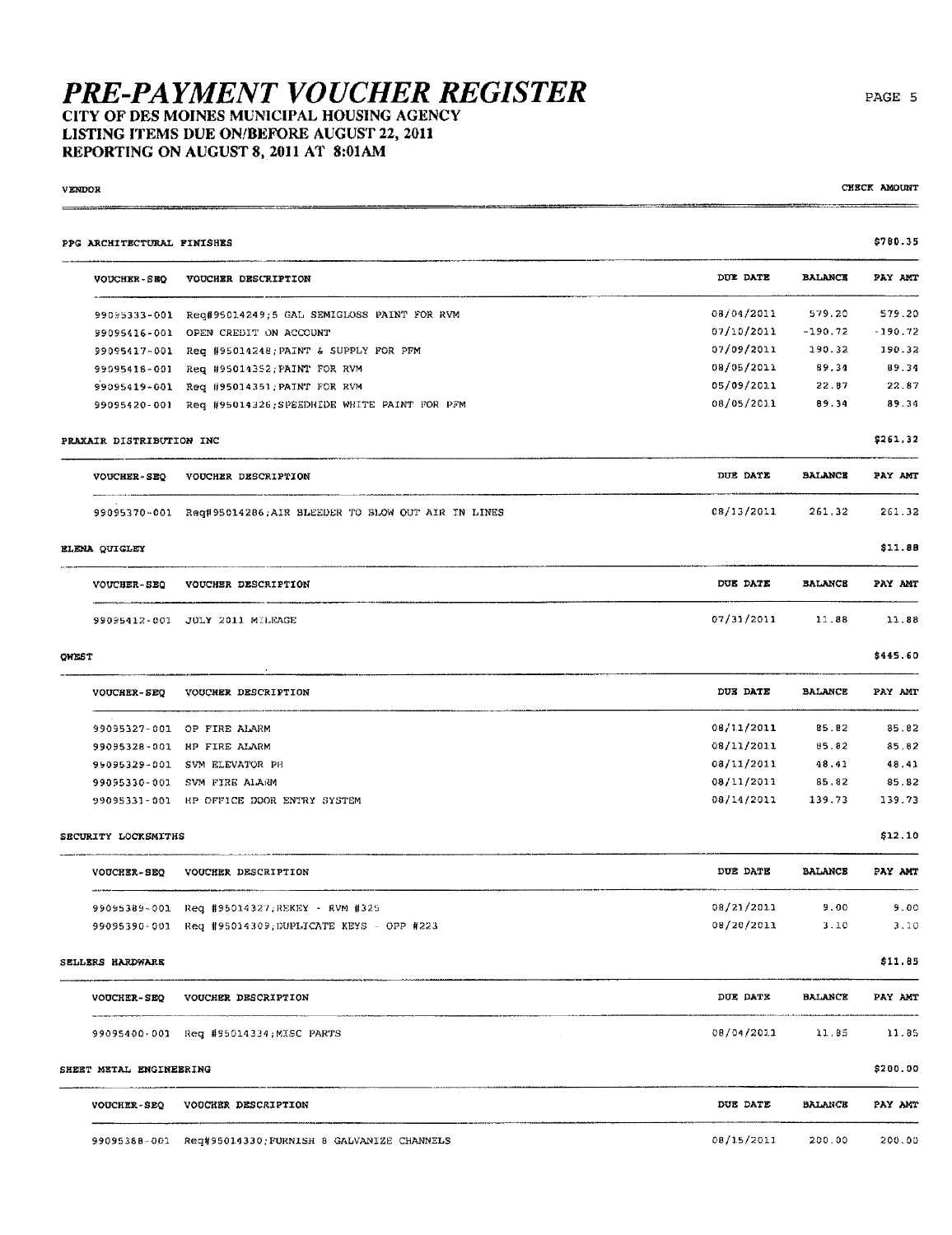#### CITY OF DES MOINES MUNICIPAL HOUSING AGENCY LISTING ITEMS DUE ON/BEFORE AUGUST 22, 2011 REPORTING ON AUGUST 8, 2011 AT 8:01AM

| <b>VENDOR</b>              |                                                                |            |                | CHECK AMOUNT |
|----------------------------|----------------------------------------------------------------|------------|----------------|--------------|
| PPG ARCHITECTURAL FINISHES |                                                                |            |                | \$780.35     |
| VOUCHER-SEQ                | VOUCHER DESCRIPTION                                            | DUE DATE   | <b>BALANCE</b> | PAY AMT      |
|                            | 99095333-001 Reg#95014249;5 GAL SEMIGLOSS PAINT FOR RVM        | 08/04/2011 | 579.20         | 579.20       |
| 99095416-001               | OPEN CREDIT ON ACCOUNT                                         | 07/10/2011 | $-190.72$      | $-190,72$    |
|                            | 99095417-001 Req #95014248; PAINT & SUPPLY FOR PFM             | 07/09/2011 | 190.32         | 190.32       |
|                            | 99095418-001 Req #95014352; PAINT FOR RVM                      | 08/05/2011 | 89.34          | 89.34        |
|                            | 99095419-001 Req #95014351; PAINT FOR RVM                      | 05/09/2011 | 22.87          | 22.87        |
|                            | 99095420-001 Req #95014326.SPEEDHIDE WHITE PAINT FOR PFM       | 08/05/2011 | 89.34          | 89.34        |
| PRAXAIR DISTRIBUTION INC   |                                                                |            |                | \$261.32     |
| <b>VOUCHER-SEQ</b>         | VOUCHER DESCRIPTION                                            | DUE DATE   | <b>BALANCE</b> | PAY AMT      |
|                            | 99095370-001 Req#95014286;AIR BLEEDER TO BLOW OUT AIR IN LINES | 08/13/2011 | 261.32         | 261.32       |
| ELENA QUICLEY              |                                                                |            |                | \$11.88      |
| <b>VOUCHER-SEQ</b>         | VOUCHER DESCRIPTION                                            | DUE DATE   | <b>BALANCE</b> | PAY AMT      |
|                            | 99095412-001 JULY 2011 MILEAGE                                 | 07/31/2011 | 11.88          | 11.88        |
| QWEST                      |                                                                |            |                | \$445.60     |
| <b>VOUCHER-SEQ</b>         | VOUCHER DESCRIPTION                                            | DUE DATE   | <b>BALANCE</b> | PAY AMT      |
|                            | 99095327-001 OP FIRE ALARM                                     | 08/11/2011 | 85.82          | 85.82        |
| 99095328-001               | HP FIRE ALARM                                                  | 08/11/2011 | 85.82          | 85.62        |
|                            | 99095329-001 SVM ELEVATOR PH                                   | 08/11/2011 | 48.41          | 48,41        |
| 99095330-001               | SVM FIRE ALARM                                                 | 08/11/2011 | 85.82          | 85.82        |
|                            | 99095331-001 HP OFFICE DOOR ENTRY SYSTEM                       | 08/14/2011 | 139.73         | 139.73       |
| SECURITY LOCKSMITHS        |                                                                |            |                | \$12.10      |
| <b>VOUCHER-SEQ</b>         | VOUCHER DESCRIPTION                                            | DUE DATE   | <b>BALANCE</b> | PAY AMT      |
|                            | 99095389-001 Req #95014327;REKEY - RVM #325                    | 08/21/2011 | 9.00           | 9.00         |
|                            | 99095390-001 Req #95014309;DUPLICATE KEYS - OPP #223           | 08/20/2011 | 3.10           | 3.10         |
| SELLERS HARDWARE           |                                                                |            |                | \$11.85      |
|                            | VOUCHER-SEQ VOUCHER DESCRIPTION                                | DUE DATE   | <b>BALANCE</b> | PAY AMT      |
|                            | 99095400-001 Req #95014334; MISC PARTS                         | 08/04/2011 | 11.85          | 11.85        |
| SHEET METAL ENGINEERING    |                                                                |            |                | \$200.00     |
| <b>VOUCHER-SEQ</b>         | VOUCHER DESCRIPTION                                            | DUE DATE   | <b>BALANCE</b> | PAY AMT      |
|                            | 99095388-001 Req#95014330; FURNISH 8 GALVANIZE CHANNELS        | 08/15/2011 | 200.00         | 200.00       |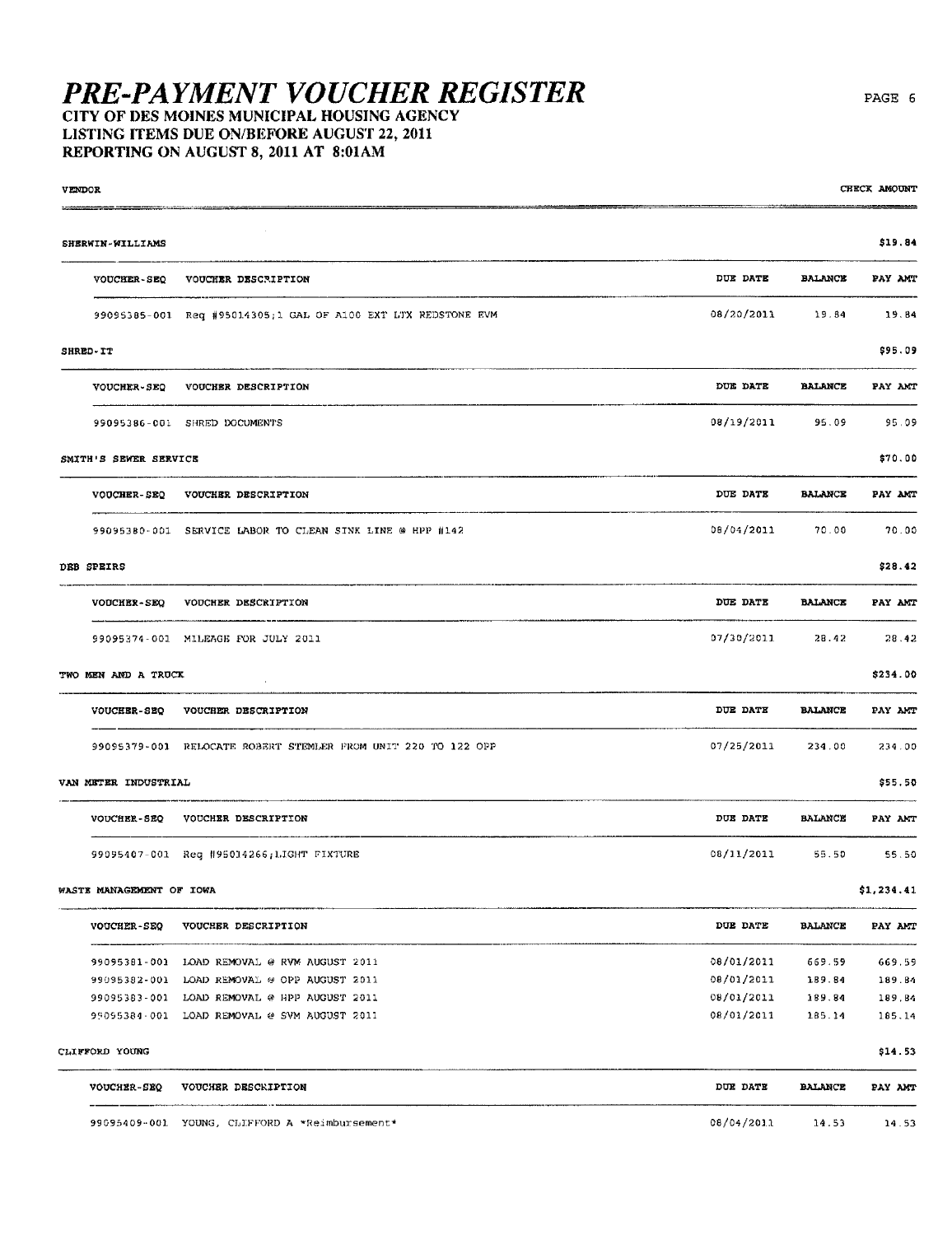#### CITY OF DES MOINES MUNICIPAL HOUSING AGENCY LISTING ITEMS DUE ON/BEFORE AUGUST 22, 2011 REPORTING ON AUGUST 8, 2011 AT 8:01AM

| <b>VENDOR</b>                   |                                                                |            |                | CHECK AMOUNT |
|---------------------------------|----------------------------------------------------------------|------------|----------------|--------------|
| SHERWIN-WILLIAMS                |                                                                |            |                | \$19.84      |
| <b>VOUCHER-SEQ</b>              | VOUCHER DESCRIPTION                                            | DUE DATE   | <b>BALANCE</b> | PAY AMT      |
|                                 | 99095385-001 Req #95014305; 1 GAL OF A100 EXT LTX REDSTONE EVM | 08/20/2011 | 19.84          | 19.84        |
| SHRED-IT                        |                                                                |            |                | \$95.09      |
| VOUCHER-SEQ                     | VOUCHER DESCRIPTION                                            | DUE DATE   | <b>BALANCE</b> | PAY AMT      |
|                                 | 99095386-001 SHRED DOCUMENTS                                   | 08/19/2011 | 95.09          | 95.09        |
| SMITH'S SEWER SERVICE           |                                                                |            |                | \$70.00      |
| VOUCHER-SEQ                     | VOUCHER DESCRIPTION                                            | DUE DATE   | <b>BALANCE</b> | PAY AMT      |
|                                 | 99095380-001 SERVICE LABOR TO CLEAN SINK LINE @ HPP #142       | 08/04/2011 | 70.00          | 70.00        |
| DEB SPEIRS                      |                                                                |            |                | \$28.42      |
| <b>VOUCHER-SEQ</b>              | VOUCHER DESCRIPTION                                            | DUE DATE   | <b>BALANCE</b> | PAY AMT      |
|                                 | 99095374-001 MILEAGE FOR JULY 2011                             | 07/30/2011 | 28.42          | 28.42        |
| TWO MEN AND A TRUCK             |                                                                |            |                | \$234.00     |
| <b>VOUCHER-SEQ</b>              | VOUCHER DESCRIPTION                                            | DUE DATE   | <b>BALANCE</b> | PAY AMT      |
|                                 | 99095379-001 RELOCATE ROBERT STEMLER FROM UNIT 220 TO 122 OPP  | 07/25/2011 | 234.00         | 234.00       |
| VAN METER INDUSTRIAL            |                                                                |            |                | \$55.50      |
| <b>VOUCHER-SEQ</b>              | VOUCHER DESCRIPTION                                            | DUE DATE   | <b>BALANCE</b> | PAY ANT      |
|                                 | 99095407-001 Req #95014266; LIGHT FIXTURE                      | 08/11/2011 | 55.50          | 55.50        |
| <b>WASTE MANAGEMENT OF IOWA</b> |                                                                |            |                | \$1,234.41   |
| <b>VOUCHER-SEQ</b>              | VOUCHER DESCRIPTION                                            | DUE DATE   | <b>BALANCE</b> | PAY AMT      |
|                                 | 99095381-001 LOAD REMOVAL @ RVM AUGUST 2011                    | 08/01/2011 | 669.59         | 669.59       |
|                                 | 99095382-001 LOAD REMOVAL @ OPP AUGUST 2011                    | 08/01/2011 | 189.84         | 189.84       |
|                                 | 99095383-001 LOAD REMOVAL @ HPP AUGUST 2011                    | 08/01/2011 | 189.84         | 189.84       |
|                                 | 99095384-001 LOAD REMOVAL @ SVM AUGUST 2011                    | 08/01/2011 | 185.14         | 185.14       |
| CLIFFORD YOUNG                  |                                                                |            |                | \$14.53      |
| VOUCHER-SEQ                     | VOUCHER DESCRIPTION                                            | DUE DATE   | <b>BALANCE</b> | PAY AMT      |
|                                 | 99095409-001 YOUNG, CLIFFORD A *Reimbursement*                 | 08/04/2011 | 14.53          | 14.53        |